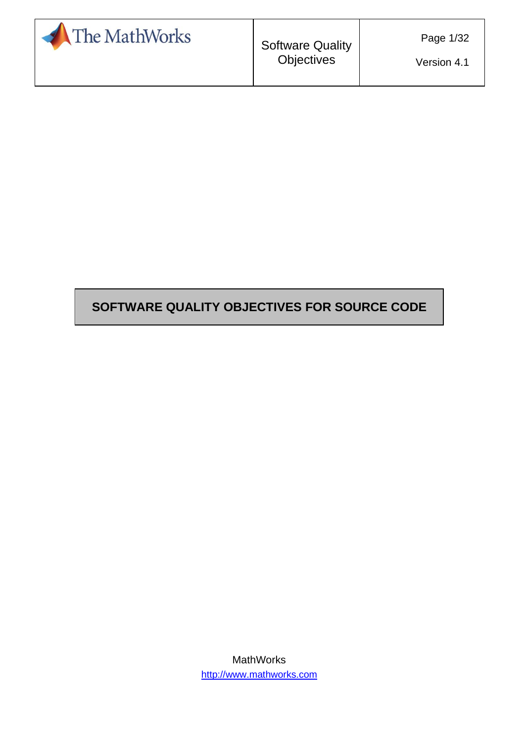

Version 4.1

## **SOFTWARE QUALITY OBJECTIVES FOR SOURCE CODE**

MathWorks [http://www.mathworks.com](http://www.mathworks.com/)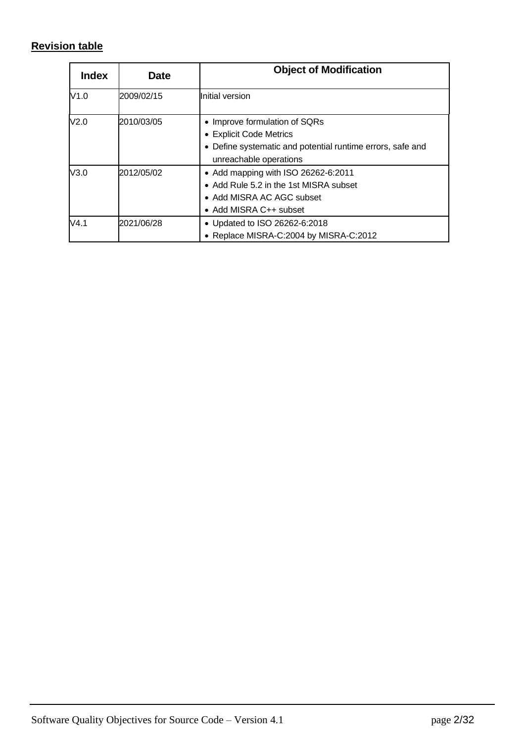# <span id="page-1-0"></span>**Revision table**

| <b>Index</b>     | Date       | <b>Object of Modification</b>                                                                                                                    |
|------------------|------------|--------------------------------------------------------------------------------------------------------------------------------------------------|
| V1.0             | 2009/02/15 | Initial version                                                                                                                                  |
| V <sub>2.0</sub> | 2010/03/05 | • Improve formulation of SQRs<br>• Explicit Code Metrics<br>• Define systematic and potential runtime errors, safe and<br>unreachable operations |
| V3.0             | 2012/05/02 | • Add mapping with ISO 26262-6:2011<br>• Add Rule 5.2 in the 1st MISRA subset<br>• Add MISRA AC AGC subset<br>• Add MISRA C++ subset             |
| V4.1             | 2021/06/28 | • Updated to ISO 26262-6:2018<br>• Replace MISRA-C:2004 by MISRA-C:2012                                                                          |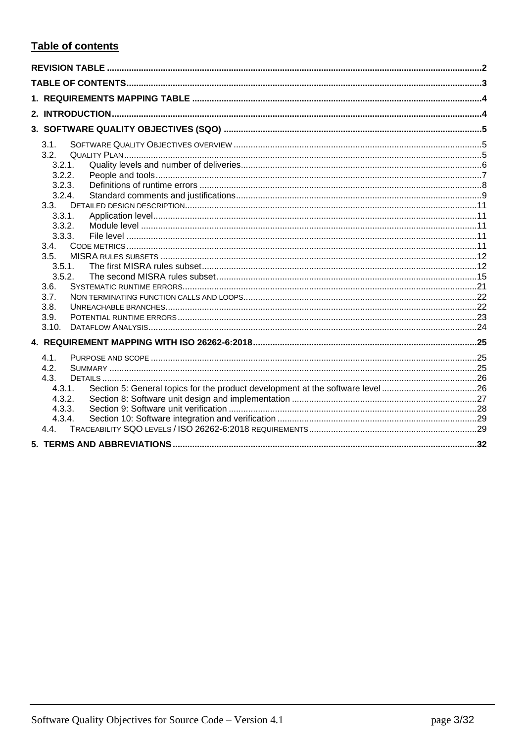# <span id="page-2-0"></span>Table of contents

| 3.1.   |  |
|--------|--|
| 3.2.   |  |
| 3.2.1. |  |
| 3.2.2. |  |
| 3.2.3. |  |
| 3.2.4. |  |
| 3.3.   |  |
| 3.3.1. |  |
| 3.3.2. |  |
| 3.3.3. |  |
| 3.4.   |  |
| 3.5.   |  |
| 3.5.1. |  |
| 3.5.2. |  |
| 3.6.   |  |
| 3.7.   |  |
| 3.8.   |  |
| 3.9.   |  |
| 3.10.  |  |
|        |  |
| 4.1.   |  |
| 4.2.   |  |
| 4.3.   |  |
| 4.3.1. |  |
| 4.3.2. |  |
| 4.3.3. |  |
| 4.3.4. |  |
| 4.4    |  |
|        |  |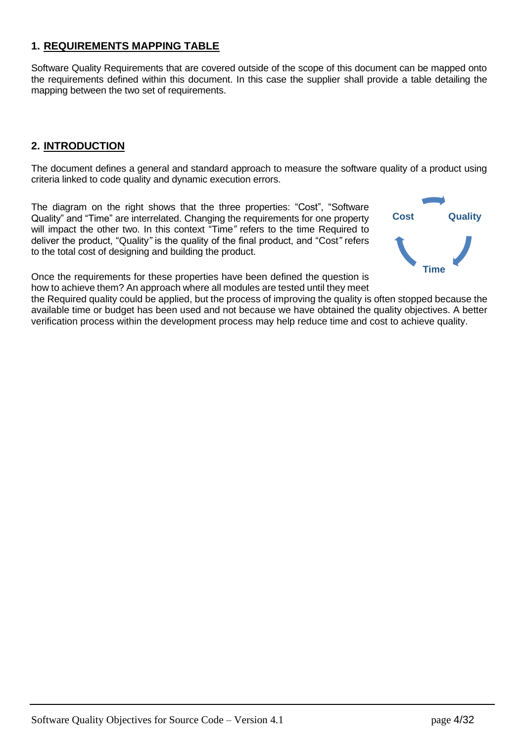### <span id="page-3-0"></span>**1. REQUIREMENTS MAPPING TABLE**

Software Quality Requirements that are covered outside of the scope of this document can be mapped onto the requirements defined within this document. In this case the supplier shall provide a table detailing the mapping between the two set of requirements.

### <span id="page-3-1"></span>**2. INTRODUCTION**

The document defines a general and standard approach to measure the software quality of a product using criteria linked to code quality and dynamic execution errors.

The diagram on the right shows that the three properties: "Cost", "Software Quality" and "Time" are interrelated. Changing the requirements for one property will impact the other two. In this context "Time*"* refers to the time Required to deliver the product, "Quality*"* is the quality of the final product, and "Cost*"* refers to the total cost of designing and building the product.



Once the requirements for these properties have been defined the question is how to achieve them? An approach where all modules are tested until they meet

the Required quality could be applied, but the process of improving the quality is often stopped because the available time or budget has been used and not because we have obtained the quality objectives. A better verification process within the development process may help reduce time and cost to achieve quality.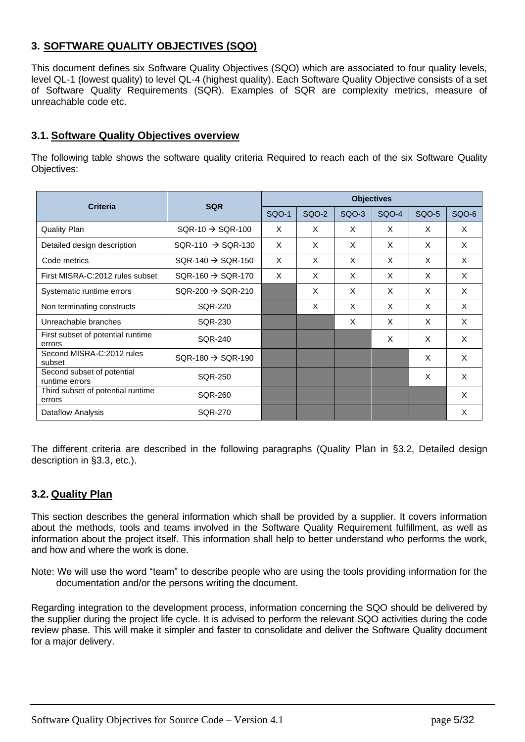## <span id="page-4-0"></span>**3. SOFTWARE QUALITY OBJECTIVES (SQO)**

This document defines six Software Quality Objectives (SQO) which are associated to four quality levels, level QL-1 (lowest quality) to level QL-4 (highest quality). Each Software Quality Objective consists of a set of Software Quality Requirements (SQR). Examples of SQR are complexity metrics, measure of unreachable code etc.

#### <span id="page-4-1"></span>**3.1. Software Quality Objectives overview**

The following table shows the software quality criteria Required to reach each of the six Software Quality Objectives:

| <b>Criteria</b>                              | <b>SQR</b>                    | <b>Objectives</b> |              |       |              |              |       |
|----------------------------------------------|-------------------------------|-------------------|--------------|-------|--------------|--------------|-------|
|                                              |                               | <b>SQO-1</b>      | <b>SQO-2</b> | SQO-3 | <b>SQO-4</b> | <b>SQO-5</b> | SQO-6 |
| <b>Quality Plan</b>                          | $SQR-10 \rightarrow SQR-100$  | $\times$          | X            | X     | X            | X            | X     |
| Detailed design description                  | $SQR-110 \rightarrow SQR-130$ | $\times$          | X            | X     | X            | X            | X     |
| Code metrics                                 | $SQR-140 \rightarrow SQR-150$ | X                 | X            | X     | X            | X            | X     |
| First MISRA-C:2012 rules subset              | $SQR-160 \rightarrow SQR-170$ | $\times$          | X            | X     | X            | X            | X     |
| Systematic runtime errors                    | $SQR-200 \rightarrow SQR-210$ |                   | X            | X     | X            | X            | X     |
| Non terminating constructs                   | <b>SQR-220</b>                |                   | X            | X     | X            | X            | X     |
| Unreachable branches                         | SQR-230                       |                   |              | X     | X            | X            | X     |
| First subset of potential runtime<br>errors  | <b>SQR-240</b>                |                   |              |       | X            | X            | X     |
| Second MISRA-C:2012 rules<br>subset          | $SQR-180 \rightarrow SQR-190$ |                   |              |       |              | X            | X     |
| Second subset of potential<br>runtime errors | <b>SQR-250</b>                |                   |              |       |              | X            | X     |
| Third subset of potential runtime<br>errors  | <b>SQR-260</b>                |                   |              |       |              |              | X     |
| Dataflow Analysis                            | SQR-270                       |                   |              |       |              |              | X     |

The different criteria are described in the following paragraphs [\(Quality](#page-4-2) [Plan](#page-4-2) in [§3.2,](#page-4-2) [Detailed design](#page-10-0)  [description](#page-10-0) in [§3.3,](#page-10-0) etc.).

#### <span id="page-4-2"></span>**3.2. Quality Plan**

This section describes the general information which shall be provided by a supplier. It covers information about the methods, tools and teams involved in the Software Quality Requirement fulfillment, as well as information about the project itself. This information shall help to better understand who performs the work, and how and where the work is done.

Note: We will use the word "team" to describe people who are using the tools providing information for the documentation and/or the persons writing the document.

Regarding integration to the development process, information concerning the SQO should be delivered by the supplier during the project life cycle. It is advised to perform the relevant SQO activities during the code review phase. This will make it simpler and faster to consolidate and deliver the Software Quality document for a major delivery.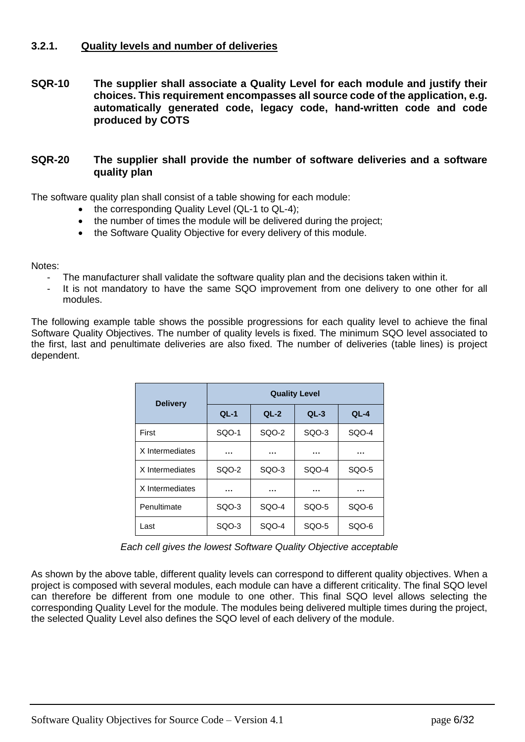### <span id="page-5-0"></span>**3.2.1. Quality levels and number of deliveries**

<span id="page-5-1"></span>**SQR-10 The supplier shall associate a Quality Level for each module and justify their choices. This requirement encompasses all source code of the application, e.g. automatically generated code, legacy code, hand-written code and code produced by COTS**

#### **SQR-20 The supplier shall provide the number of software deliveries and a software quality plan**

The software quality plan shall consist of a table showing for each module:

- the corresponding Quality Level (QL-1 to QL-4);
- the number of times the module will be delivered during the project;
- the Software Quality Objective for every delivery of this module.

Notes:

- The manufacturer shall validate the software quality plan and the decisions taken within it.
- It is not mandatory to have the same SQO improvement from one delivery to one other for all modules.

The following example table shows the possible progressions for each quality level to achieve the final Software Quality Objectives. The number of quality levels is fixed. The minimum SQO level associated to the first, last and penultimate deliveries are also fixed. The number of deliveries (table lines) is project dependent.

| <b>Delivery</b> | <b>Quality Level</b> |                  |       |        |  |  |
|-----------------|----------------------|------------------|-------|--------|--|--|
|                 | $QL-1$               | $QL-2$<br>$QL-3$ |       | $QL-4$ |  |  |
| First           | SQO-1                | SQO-2            | SQO-3 | SQO-4  |  |  |
| X Intermediates |                      |                  |       |        |  |  |
| X Intermediates | SQO-2                | SQO-3            | SQO-4 | SQO-5  |  |  |
| X Intermediates |                      | .                | .     | .      |  |  |
| Penultimate     | SQO-3                | SQO-4            | SQO-5 | SQO-6  |  |  |
| Last            | SQO-3                | SQO-4            | SQO-5 | SQO-6  |  |  |

*Each cell gives the lowest Software Quality Objective acceptable*

As shown by the above table, different quality levels can correspond to different quality objectives. When a project is composed with several modules, each module can have a different criticality. The final SQO level can therefore be different from one module to one other. This final SQO level allows selecting the corresponding Quality Level for the module. The modules being delivered multiple times during the project, the selected Quality Level also defines the SQO level of each delivery of the module.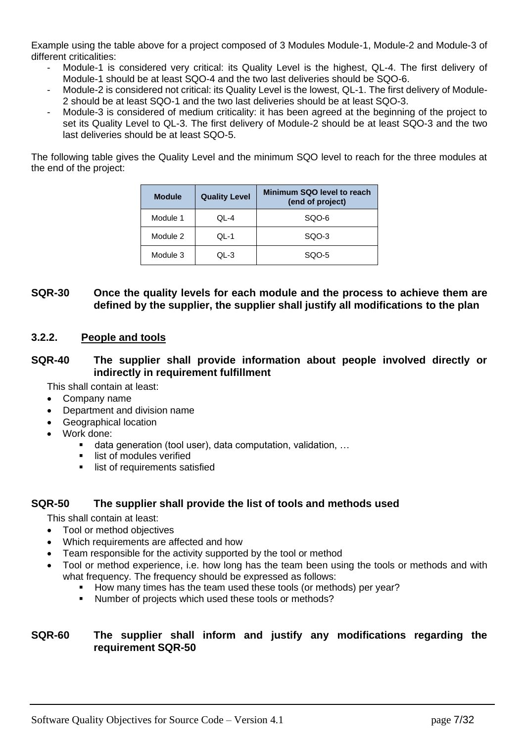Example using the table above for a project composed of 3 Modules Module-1, Module-2 and Module-3 of different criticalities:

- Module-1 is considered very critical: its Quality Level is the highest, QL-4. The first delivery of Module-1 should be at least SQO-4 and the two last deliveries should be SQO-6.
- Module-2 is considered not critical: its Quality Level is the lowest, QL-1. The first delivery of Module-2 should be at least SQO-1 and the two last deliveries should be at least SQO-3.
- Module-3 is considered of medium criticality: it has been agreed at the beginning of the project to set its Quality Level to QL-3. The first delivery of Module-2 should be at least SQO-3 and the two last deliveries should be at least SQO-5.

The following table gives the Quality Level and the minimum SQO level to reach for the three modules at the end of the project:

| <b>Module</b> | Minimum SQO level to reach<br><b>Quality Level</b><br>(end of project) |       |  |
|---------------|------------------------------------------------------------------------|-------|--|
| Module 1      | QL-4                                                                   | SQO-6 |  |
| Module 2      | QL-1                                                                   | SQO-3 |  |
| Module 3      | QL-3                                                                   | SQO-5 |  |

#### **SQR-30 Once the quality levels for each module and the process to achieve them are defined by the supplier, the supplier shall justify all modifications to the plan**

### <span id="page-6-0"></span>**3.2.2. People and tools**

#### **SQR-40 The supplier shall provide information about people involved directly or indirectly in requirement fulfillment**

This shall contain at least:

- Company name
- Department and division name
- Geographical location
- Work done:
	- data generation (tool user), data computation, validation, ...
	- **■** list of modules verified
	- **·** list of requirements satisfied

#### **SQR-50 The supplier shall provide the list of tools and methods used**

This shall contain at least:

- Tool or method objectives
- Which requirements are affected and how
- Team responsible for the activity supported by the tool or method
- Tool or method experience, i.e. how long has the team been using the tools or methods and with what frequency. The frequency should be expressed as follows:
	- How many times has the team used these tools (or methods) per year?
	- Number of projects which used these tools or methods?

### **SQR-60 The supplier shall inform and justify any modifications regarding the requirement SQR-50**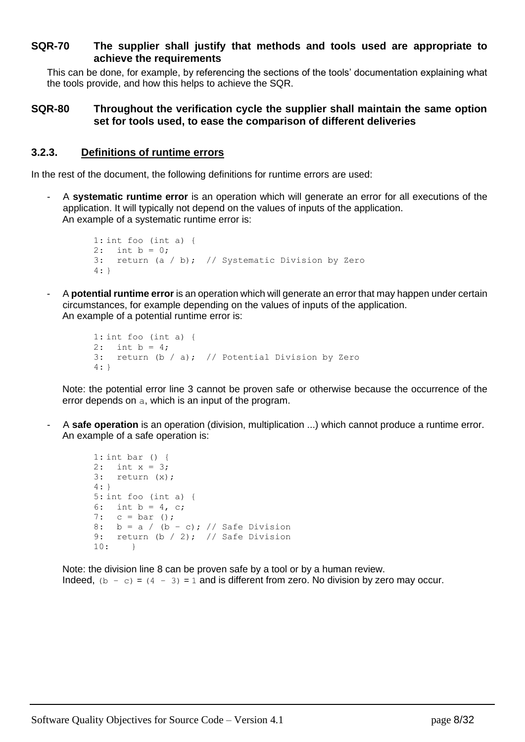#### **SQR-70 The supplier shall justify that methods and tools used are appropriate to achieve the requirements**

This can be done, for example, by referencing the sections of the tools' documentation explaining what the tools provide, and how this helps to achieve the SQR.

#### **SQR-80 Throughout the verification cycle the supplier shall maintain the same option set for tools used, to ease the comparison of different deliveries**

#### <span id="page-7-0"></span>**3.2.3. Definitions of runtime errors**

In the rest of the document, the following definitions for runtime errors are used:

- A **systematic runtime error** is an operation which will generate an error for all executions of the application. It will typically not depend on the values of inputs of the application. An example of a systematic runtime error is:

```
1: int foo (int a) {
2: int b = 0;
3: return (a / b); // Systematic Division by Zero
4: }
```
- A **potential runtime error** is an operation which will generate an error that may happen under certain circumstances, for example depending on the values of inputs of the application. An example of a potential runtime error is:

```
1: int foo (int a) {
2: int b = 4;
3: return (b / a); // Potential Division by Zero
4: }
```
Note: the potential error line 3 cannot be proven safe or otherwise because the occurrence of the error depends on a, which is an input of the program.

- A **safe operation** is an operation (division, multiplication ...) which cannot produce a runtime error. An example of a safe operation is:

```
1: int bar () {
2: int x = 3;
3: return (x);
4: }
5: int foo (int a) {
6: int b = 4, c;
7: c = bar();
8: b = a / (b - c); // Safe Division
9: return (b / 2); // Safe Division
10: }
```
Note: the division line 8 can be proven safe by a tool or by a human review. Indeed,  $(b - c) = (4 - 3) = 1$  and is different from zero. No division by zero may occur.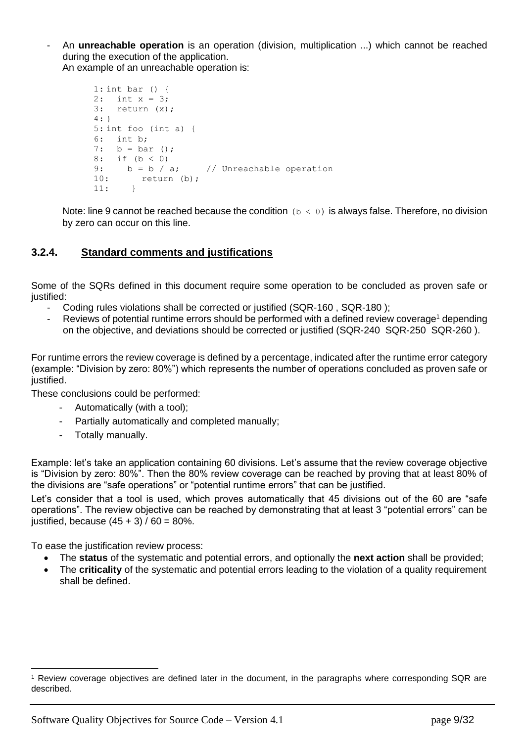- An **unreachable operation** is an operation (division, multiplication ...) which cannot be reached during the execution of the application. An example of an unreachable operation is:

```
1: int bar () {
2: int x = 3;
3: return (x);
4: }
5: int foo (int a) {
6: int b;
7: b = bar();
8: if (b < 0)
9: b = b / a; // Unreachable operation
10: return (b);
11: }
```
Note: line 9 cannot be reached because the condition ( $b < 0$ ) is always false. Therefore, no division by zero can occur on this line.

### <span id="page-8-0"></span>**3.2.4. Standard comments and justifications**

Some of the SQRs defined in this document require some operation to be concluded as proven safe or justified:

- Coding rules violations shall be corrected or justified [\(SQR-160 ,](#page-14-1) [SQR-180 \)](#page-19-0);
- Reviews of potential runtime errors should be performed with a defined review coverage<sup>1</sup> depending on the objective, and deviations should be corrected or justified [\(SQR-240](#page-22-1) [SQR-250](#page-22-2) [SQR-260 \)](#page-22-3).

For runtime errors the review coverage is defined by a percentage, indicated after the runtime error category (example: "Division by zero: 80%") which represents the number of operations concluded as proven safe or justified.

These conclusions could be performed:

- Automatically (with a tool);
- Partially automatically and completed manually;
- Totally manually.

Example: let's take an application containing 60 divisions. Let's assume that the review coverage objective is "Division by zero: 80%". Then the 80% review coverage can be reached by proving that at least 80% of the divisions are "safe operations" or "potential runtime errors" that can be justified.

Let's consider that a tool is used, which proves automatically that 45 divisions out of the 60 are "safe operations". The review objective can be reached by demonstrating that at least 3 "potential errors" can be justified, because  $(45 + 3) / 60 = 80\%$ .

To ease the justification review process:

- The **status** of the systematic and potential errors, and optionally the **next action** shall be provided;
- The **criticality** of the systematic and potential errors leading to the violation of a quality requirement shall be defined.

<sup>1</sup> Review coverage objectives are defined later in the document, in the paragraphs where corresponding SQR are described.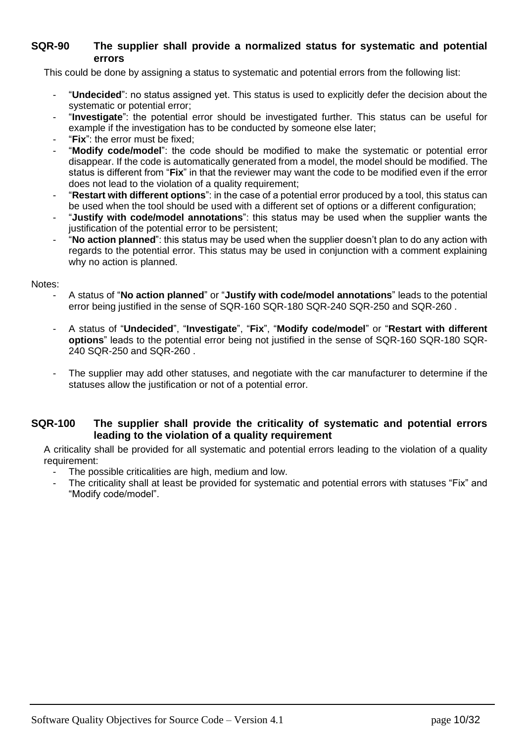#### **SQR-90 The supplier shall provide a normalized status for systematic and potential errors**

This could be done by assigning a status to systematic and potential errors from the following list:

- "**Undecided**": no status assigned yet. This status is used to explicitly defer the decision about the systematic or potential error;
- "Investigate": the potential error should be investigated further. This status can be useful for example if the investigation has to be conducted by someone else later;
- "Fix": the error must be fixed:
- "**Modify code/model**": the code should be modified to make the systematic or potential error disappear. If the code is automatically generated from a model, the model should be modified. The status is different from "**Fix**" in that the reviewer may want the code to be modified even if the error does not lead to the violation of a quality requirement;
- "**Restart with different options**": in the case of a potential error produced by a tool, this status can be used when the tool should be used with a different set of options or a different configuration;
- "Justify with code/model annotations": this status may be used when the supplier wants the justification of the potential error to be persistent;
- "**No action planned**": this status may be used when the supplier doesn't plan to do any action with regards to the potential error. This status may be used in conjunction with a comment explaining why no action is planned.

Notes:

- A status of "**No action planned**" or "**Justify with code/model annotations**" leads to the potential error being justified in the sense of [SQR-160](#page-14-1) [SQR-180](#page-19-0) [SQR-240](#page-22-1) [SQR-250 a](#page-22-2)nd [SQR-260 .](#page-22-3)
- A status of "**Undecided**", "**Investigate**", "**Fix**", "**Modify code/model**" or "**Restart with different options**" leads to the potential error being not justified in the sense of [SQR-160](#page-14-1) [SQR-180](#page-19-0) [SQR-](#page-22-1)[240](#page-22-1) [SQR-250 a](#page-22-2)nd [SQR-260 .](#page-22-3)
- The supplier may add other statuses, and negotiate with the car manufacturer to determine if the statuses allow the justification or not of a potential error.

### <span id="page-9-0"></span>**SQR-100 The supplier shall provide the criticality of systematic and potential errors leading to the violation of a quality requirement**

A criticality shall be provided for all systematic and potential errors leading to the violation of a quality requirement:

- The possible criticalities are high, medium and low.
- The criticality shall at least be provided for systematic and potential errors with statuses "Fix" and "Modify code/model".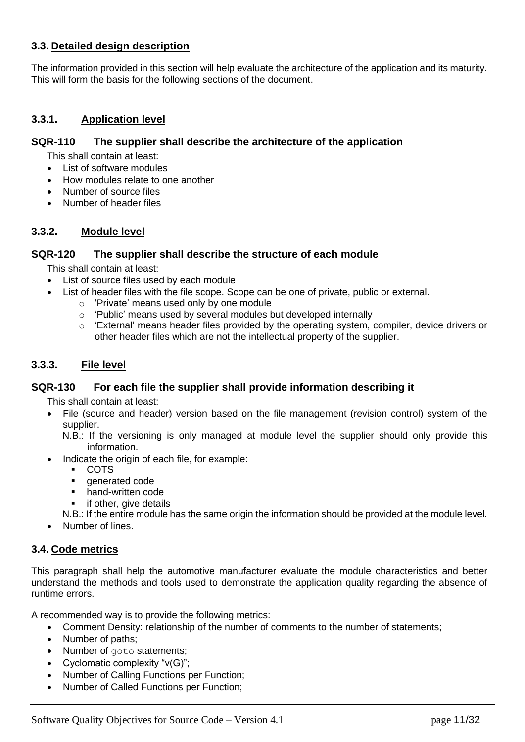### <span id="page-10-0"></span>**3.3. Detailed design description**

The information provided in this section will help evaluate the architecture of the application and its maturity. This will form the basis for the following sections of the document.

#### <span id="page-10-1"></span>**3.3.1. Application level**

#### <span id="page-10-5"></span>**SQR-110 The supplier shall describe the architecture of the application**

This shall contain at least:

- List of software modules
- How modules relate to one another
- Number of source files
- Number of header files

#### <span id="page-10-2"></span>**3.3.2. Module level**

#### **SQR-120 The supplier shall describe the structure of each module**

This shall contain at least:

- List of source files used by each module
- List of header files with the file scope. Scope can be one of private, public or external.
	- o 'Private' means used only by one module
	- o 'Public' means used by several modules but developed internally
	- o 'External' means header files provided by the operating system, compiler, device drivers or other header files which are not the intellectual property of the supplier.

#### <span id="page-10-3"></span>**3.3.3. File level**

#### <span id="page-10-6"></span>**SQR-130 For each file the supplier shall provide information describing it**

This shall contain at least:

• File (source and header) version based on the file management (revision control) system of the supplier.

N.B.: If the versioning is only managed at module level the supplier should only provide this information.

- Indicate the origin of each file, for example:
	- COTS
	- generated code
	- hand-written code
	- if other, give details

N.B.: If the entire module has the same origin the information should be provided at the module level.

• Number of lines.

#### <span id="page-10-4"></span>**3.4. Code metrics**

This paragraph shall help the automotive manufacturer evaluate the module characteristics and better understand the methods and tools used to demonstrate the application quality regarding the absence of runtime errors.

A recommended way is to provide the following metrics:

- Comment Density: relationship of the number of comments to the number of statements;
- Number of paths;
- Number of goto statements;
- Cyclomatic complexity "v(G)";
- Number of Calling Functions per Function;
- Number of Called Functions per Function;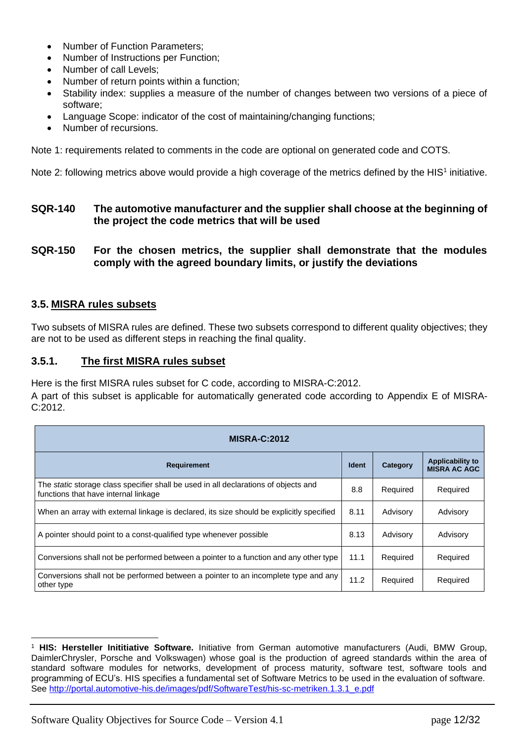- Number of Function Parameters;
- Number of Instructions per Function;
- Number of call Levels;
- Number of return points within a function;
- Stability index: supplies a measure of the number of changes between two versions of a piece of software;
- Language Scope: indicator of the cost of maintaining/changing functions;
- Number of recursions.

Note 1: requirements related to comments in the code are optional on generated code and COTS.

Note 2: following metrics above would provide a high coverage of the metrics defined by the HIS<sup>1</sup> initiative.

### <span id="page-11-2"></span>**SQR-140 The automotive manufacturer and the supplier shall choose at the beginning of the project the code metrics that will be used**

<span id="page-11-3"></span>**SQR-150 For the chosen metrics, the supplier shall demonstrate that the modules comply with the agreed boundary limits, or justify the deviations**

### <span id="page-11-0"></span>**3.5. MISRA rules subsets**

Two subsets of MISRA rules are defined. These two subsets correspond to different quality objectives; they are not to be used as different steps in reaching the final quality.

#### <span id="page-11-1"></span>**3.5.1. The first MISRA rules subset**

Here is the first MISRA rules subset for C code, according to MISRA-C:2012.

A part of this subset is applicable for automatically generated code according to Appendix E of MISRA-C:2012.

| <b>MISRA-C:2012</b>                                                                                                         |              |          |                                                |  |  |
|-----------------------------------------------------------------------------------------------------------------------------|--------------|----------|------------------------------------------------|--|--|
| <b>Requirement</b>                                                                                                          | <b>Ident</b> | Category | <b>Applicability to</b><br><b>MISRA AC AGC</b> |  |  |
| The static storage class specifier shall be used in all declarations of objects and<br>functions that have internal linkage | 8.8          | Required | Required                                       |  |  |
| When an array with external linkage is declared, its size should be explicitly specified                                    | 8.11         | Advisory | Advisory                                       |  |  |
| A pointer should point to a const-qualified type whenever possible                                                          | 8.13         | Advisory | Advisory                                       |  |  |
| Conversions shall not be performed between a pointer to a function and any other type                                       | 11.1         | Required | Required                                       |  |  |
| Conversions shall not be performed between a pointer to an incomplete type and any<br>other type                            | 11.2         | Required | Required                                       |  |  |

<sup>1</sup> **HIS: Hersteller Inititiative Software.** Initiative from German automotive manufacturers (Audi, BMW Group, DaimlerChrysler, Porsche and Volkswagen) whose goal is the production of agreed standards within the area of standard software modules for networks, development of process maturity, software test, software tools and programming of ECU's. HIS specifies a fundamental set of Software Metrics to be used in the evaluation of software. See [http://portal.automotive-his.de/images/pdf/SoftwareTest/his-sc-metriken.1.3.1\\_e.pdf](http://portal.automotive-his.de/images/pdf/SoftwareTest/his-sc-metriken.1.3.1_e.pdf)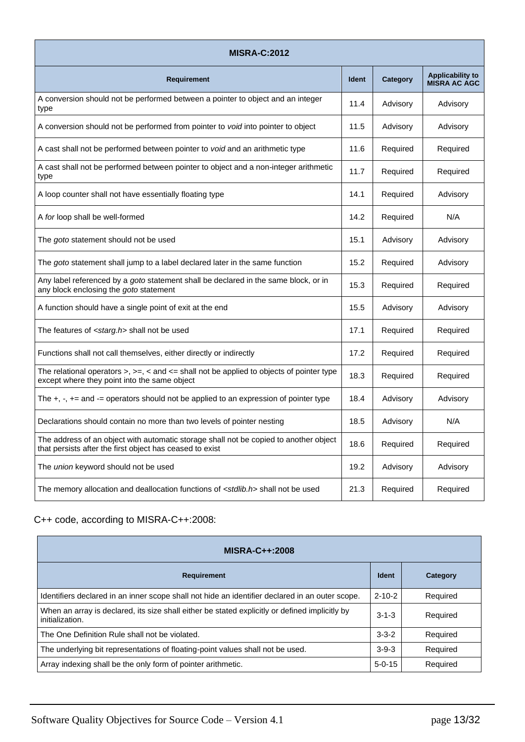| <b>MISRA-C:2012</b>                                                                                                                                |              |          |                                                |  |  |
|----------------------------------------------------------------------------------------------------------------------------------------------------|--------------|----------|------------------------------------------------|--|--|
| <b>Requirement</b>                                                                                                                                 | <b>Ident</b> | Category | <b>Applicability to</b><br><b>MISRA AC AGC</b> |  |  |
| A conversion should not be performed between a pointer to object and an integer<br>type                                                            | 11.4         | Advisory | Advisory                                       |  |  |
| A conversion should not be performed from pointer to void into pointer to object                                                                   | 11.5         | Advisory | Advisory                                       |  |  |
| A cast shall not be performed between pointer to <i>void</i> and an arithmetic type                                                                | 11.6         | Required | Required                                       |  |  |
| A cast shall not be performed between pointer to object and a non-integer arithmetic<br>type                                                       | 11.7         | Required | Required                                       |  |  |
| A loop counter shall not have essentially floating type                                                                                            | 14.1         | Required | Advisory                                       |  |  |
| A for loop shall be well-formed                                                                                                                    | 14.2         | Required | N/A                                            |  |  |
| The <i>goto</i> statement should not be used                                                                                                       | 15.1         | Advisory | Advisory                                       |  |  |
| The goto statement shall jump to a label declared later in the same function                                                                       | 15.2         | Required | Advisory                                       |  |  |
| Any label referenced by a goto statement shall be declared in the same block, or in<br>any block enclosing the goto statement                      | 15.3         | Required | Required                                       |  |  |
| A function should have a single point of exit at the end                                                                                           | 15.5         | Advisory | Advisory                                       |  |  |
| The features of <starg.h> shall not be used</starg.h>                                                                                              | 17.1         | Required | Required                                       |  |  |
| Functions shall not call themselves, either directly or indirectly                                                                                 | 17.2         | Required | Required                                       |  |  |
| The relational operators $>$ , $>=$ , $<$ and $<=$ shall not be applied to objects of pointer type<br>except where they point into the same object | 18.3         | Required | Required                                       |  |  |
| The $+, -$ , $+=$ and $==$ operators should not be applied to an expression of pointer type                                                        | 18.4         | Advisory | Advisory                                       |  |  |
| Declarations should contain no more than two levels of pointer nesting                                                                             | 18.5         | Advisory | N/A                                            |  |  |
| The address of an object with automatic storage shall not be copied to another object<br>that persists after the first object has ceased to exist  | 18.6         | Required | Required                                       |  |  |
| The union keyword should not be used                                                                                                               | 19.2         | Advisory | Advisory                                       |  |  |
| The memory allocation and deallocation functions of <stdlib.h> shall not be used</stdlib.h>                                                        | 21.3         | Required | Required                                       |  |  |

## C++ code, according to MISRA-C++:2008:

| $MISRA-C++:2008$                                                                                                  |              |          |  |  |
|-------------------------------------------------------------------------------------------------------------------|--------------|----------|--|--|
| <b>Requirement</b>                                                                                                | <b>Ident</b> | Category |  |  |
| Identifiers declared in an inner scope shall not hide an identifier declared in an outer scope.                   | $2 - 10 - 2$ | Required |  |  |
| When an array is declared, its size shall either be stated explicitly or defined implicitly by<br>initialization. | $3 - 1 - 3$  | Required |  |  |
| The One Definition Rule shall not be violated.                                                                    | $3 - 3 - 2$  | Required |  |  |
| The underlying bit representations of floating-point values shall not be used.                                    | $3 - 9 - 3$  | Required |  |  |
| Array indexing shall be the only form of pointer arithmetic.                                                      | $5 - 0 - 15$ | Required |  |  |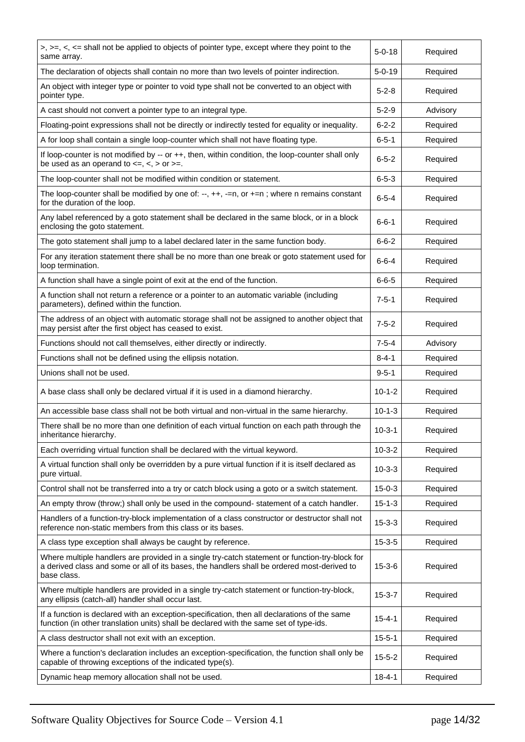| $>$ , $>=$ , $\lt$ , $\lt$ = shall not be applied to objects of pointer type, except where they point to the<br>same array.                                                                                  | $5 - 0 - 18$ | Required |
|--------------------------------------------------------------------------------------------------------------------------------------------------------------------------------------------------------------|--------------|----------|
| The declaration of objects shall contain no more than two levels of pointer indirection.                                                                                                                     | $5 - 0 - 19$ | Required |
| An object with integer type or pointer to void type shall not be converted to an object with<br>pointer type.                                                                                                | $5 - 2 - 8$  | Required |
| A cast should not convert a pointer type to an integral type.                                                                                                                                                | $5 - 2 - 9$  | Advisory |
| Floating-point expressions shall not be directly or indirectly tested for equality or inequality.                                                                                                            | $6 - 2 - 2$  | Required |
| A for loop shall contain a single loop-counter which shall not have floating type.                                                                                                                           | $6 - 5 - 1$  | Required |
| If loop-counter is not modified by -- or ++, then, within condition, the loop-counter shall only<br>be used as an operand to $\lt =, \lt, >$ or $\gt =$ .                                                    | $6 - 5 - 2$  | Required |
| The loop-counter shall not be modified within condition or statement.                                                                                                                                        | $6 - 5 - 3$  | Required |
| The loop-counter shall be modified by one of: --, $++$ , -=n, or $+=n$ ; where n remains constant<br>for the duration of the loop.                                                                           | $6 - 5 - 4$  | Required |
| Any label referenced by a goto statement shall be declared in the same block, or in a block<br>enclosing the goto statement.                                                                                 | $6 - 6 - 1$  | Required |
| The goto statement shall jump to a label declared later in the same function body.                                                                                                                           | $6 - 6 - 2$  | Required |
| For any iteration statement there shall be no more than one break or goto statement used for<br>loop termination.                                                                                            | $6 - 6 - 4$  | Required |
| A function shall have a single point of exit at the end of the function.                                                                                                                                     | $6 - 6 - 5$  | Required |
| A function shall not return a reference or a pointer to an automatic variable (including<br>parameters), defined within the function.                                                                        | $7 - 5 - 1$  | Required |
| The address of an object with automatic storage shall not be assigned to another object that<br>may persist after the first object has ceased to exist.                                                      | $7 - 5 - 2$  | Required |
| Functions should not call themselves, either directly or indirectly.                                                                                                                                         | $7 - 5 - 4$  | Advisory |
| Functions shall not be defined using the ellipsis notation.                                                                                                                                                  | $8 - 4 - 1$  | Required |
| Unions shall not be used.                                                                                                                                                                                    | $9 - 5 - 1$  | Required |
| A base class shall only be declared virtual if it is used in a diamond hierarchy.                                                                                                                            | $10 - 1 - 2$ | Required |
| An accessible base class shall not be both virtual and non-virtual in the same hierarchy.                                                                                                                    | $10 - 1 - 3$ | Required |
| There shall be no more than one definition of each virtual function on each path through the<br>inheritance hierarchy.                                                                                       | $10 - 3 - 1$ | Required |
| Each overriding virtual function shall be declared with the virtual keyword.                                                                                                                                 | $10 - 3 - 2$ | Required |
| A virtual function shall only be overridden by a pure virtual function if it is itself declared as<br>pure virtual.                                                                                          | $10 - 3 - 3$ | Required |
| Control shall not be transferred into a try or catch block using a goto or a switch statement.                                                                                                               | $15 - 0 - 3$ | Required |
| An empty throw (throw;) shall only be used in the compound- statement of a catch handler.                                                                                                                    | $15 - 1 - 3$ | Required |
| Handlers of a function-try-block implementation of a class constructor or destructor shall not<br>reference non-static members from this class or its bases.                                                 | $15 - 3 - 3$ | Required |
| A class type exception shall always be caught by reference.                                                                                                                                                  | $15 - 3 - 5$ | Required |
| Where multiple handlers are provided in a single try-catch statement or function-try-block for<br>a derived class and some or all of its bases, the handlers shall be ordered most-derived to<br>base class. | $15 - 3 - 6$ | Required |
| Where multiple handlers are provided in a single try-catch statement or function-try-block,<br>any ellipsis (catch-all) handler shall occur last.                                                            | $15 - 3 - 7$ | Required |
| If a function is declared with an exception-specification, then all declarations of the same<br>function (in other translation units) shall be declared with the same set of type-ids.                       | $15 - 4 - 1$ | Required |
| A class destructor shall not exit with an exception.                                                                                                                                                         | $15 - 5 - 1$ | Required |
| Where a function's declaration includes an exception-specification, the function shall only be<br>capable of throwing exceptions of the indicated type(s).                                                   | $15 - 5 - 2$ | Required |
| Dynamic heap memory allocation shall not be used.                                                                                                                                                            | $18 - 4 - 1$ | Required |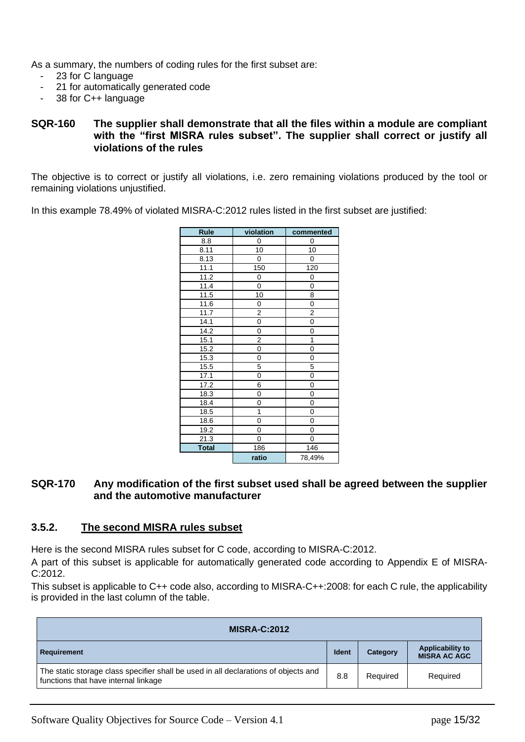As a summary, the numbers of coding rules for the first subset are:

- 23 for C language
- 21 for automatically generated code
- 38 for C++ language

#### <span id="page-14-1"></span>**SQR-160 The supplier shall demonstrate that all the files within a module are compliant with the "first MISRA rules subset". The supplier shall correct or justify all violations of the rules**

The objective is to correct or justify all violations, i.e. zero remaining violations produced by the tool or remaining violations unjustified.

In this example 78.49% of violated MISRA-C:2012 rules listed in the first subset are justified:

| <b>Rule</b>       | violation      | commented      |
|-------------------|----------------|----------------|
| 8.8               | 0              | 0              |
| 8.11              | 10             | 10             |
| 8.13              | 0              | $\mathsf 0$    |
| 11.1              | 150            | 120            |
| 11.2              | 0              | 0              |
| 11.4              | 0              | 0              |
| 11.5              | 10             | 8              |
| 11.6              | 0              | 0              |
| 11.7              | $\overline{2}$ | $\overline{2}$ |
| 14.1              | $\overline{0}$ | $\overline{0}$ |
| 14.2              | 0              | 0              |
| 15.1              | 2              | 1              |
| 15.2              | 0              | 0              |
| 15.3              | 0              | 0              |
| 15.5              | 5              | 5              |
| 17.1              | 0              | $\overline{0}$ |
| $\overline{17.2}$ | 6              | 0              |
| 18.3              | 0              | 0              |
| 18.4              | 0              | 0              |
| 18.5              | 1              | 0              |
| 18.6              | 0              | 0              |
| 19.2              | 0              | 0              |
| 21.3              | 0              | 0              |
| <b>Total</b>      | 186            | 146            |
|                   | ratio          | 78,49%         |

#### <span id="page-14-2"></span>**SQR-170 Any modification of the first subset used shall be agreed between the supplier and the automotive manufacturer**

#### <span id="page-14-0"></span>**3.5.2. The second MISRA rules subset**

Here is the second MISRA rules subset for C code, according to MISRA-C:2012.

A part of this subset is applicable for automatically generated code according to Appendix E of MISRA-C:2012.

This subset is applicable to C++ code also, according to MISRA-C++:2008: for each C rule, the applicability is provided in the last column of the table.

| <b>MISRA-C:2012</b>                                                                                                         |              |          |                                                |  |
|-----------------------------------------------------------------------------------------------------------------------------|--------------|----------|------------------------------------------------|--|
| Requirement                                                                                                                 | <b>Ident</b> | Category | <b>Applicability to</b><br><b>MISRA AC AGC</b> |  |
| The static storage class specifier shall be used in all declarations of objects and<br>functions that have internal linkage | 8.8          | Required | Required                                       |  |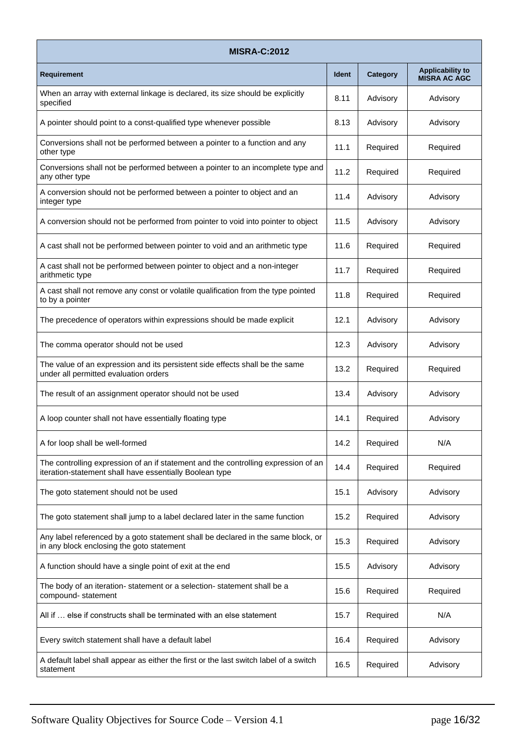| <b>MISRA-C:2012</b>                                                                                                                           |              |          |                                                |  |  |  |
|-----------------------------------------------------------------------------------------------------------------------------------------------|--------------|----------|------------------------------------------------|--|--|--|
| <b>Requirement</b>                                                                                                                            | <b>Ident</b> | Category | <b>Applicability to</b><br><b>MISRA AC AGC</b> |  |  |  |
| When an array with external linkage is declared, its size should be explicitly<br>specified                                                   | 8.11         | Advisory | Advisory                                       |  |  |  |
| A pointer should point to a const-qualified type whenever possible                                                                            | 8.13         | Advisory | Advisory                                       |  |  |  |
| Conversions shall not be performed between a pointer to a function and any<br>other type                                                      | 11.1         | Required | Required                                       |  |  |  |
| Conversions shall not be performed between a pointer to an incomplete type and<br>any other type                                              | 11.2         | Required | Required                                       |  |  |  |
| A conversion should not be performed between a pointer to object and an<br>integer type                                                       | 11.4         | Advisory | Advisory                                       |  |  |  |
| A conversion should not be performed from pointer to void into pointer to object                                                              | 11.5         | Advisory | Advisory                                       |  |  |  |
| A cast shall not be performed between pointer to void and an arithmetic type                                                                  | 11.6         | Required | Required                                       |  |  |  |
| A cast shall not be performed between pointer to object and a non-integer<br>arithmetic type                                                  | 11.7         | Required | Required                                       |  |  |  |
| A cast shall not remove any const or volatile qualification from the type pointed<br>to by a pointer                                          | 11.8         | Required | Required                                       |  |  |  |
| The precedence of operators within expressions should be made explicit                                                                        | 12.1         | Advisory | Advisory                                       |  |  |  |
| The comma operator should not be used                                                                                                         | 12.3         | Advisory | Advisory                                       |  |  |  |
| The value of an expression and its persistent side effects shall be the same<br>under all permitted evaluation orders                         | 13.2         | Required | Required                                       |  |  |  |
| The result of an assignment operator should not be used                                                                                       | 13.4         | Advisory | Advisory                                       |  |  |  |
| A loop counter shall not have essentially floating type                                                                                       | 14.1         | Required | Advisory                                       |  |  |  |
| A for loop shall be well-formed                                                                                                               | 14.2         | Required | N/A                                            |  |  |  |
| The controlling expression of an if statement and the controlling expression of an<br>iteration-statement shall have essentially Boolean type | 14.4         | Required | Required                                       |  |  |  |
| The goto statement should not be used                                                                                                         | 15.1         | Advisory | Advisory                                       |  |  |  |
| The goto statement shall jump to a label declared later in the same function                                                                  | 15.2         | Required | Advisory                                       |  |  |  |
| Any label referenced by a goto statement shall be declared in the same block, or<br>in any block enclosing the goto statement                 | 15.3         | Required | Advisory                                       |  |  |  |
| A function should have a single point of exit at the end                                                                                      | 15.5         | Advisory | Advisory                                       |  |  |  |
| The body of an iteration- statement or a selection- statement shall be a<br>compound-statement                                                | 15.6         | Required | Required                                       |  |  |  |
| All if  else if constructs shall be terminated with an else statement                                                                         | 15.7         | Required | N/A                                            |  |  |  |
| Every switch statement shall have a default label                                                                                             | 16.4         | Required | Advisory                                       |  |  |  |
| A default label shall appear as either the first or the last switch label of a switch<br>statement                                            | 16.5         | Required | Advisory                                       |  |  |  |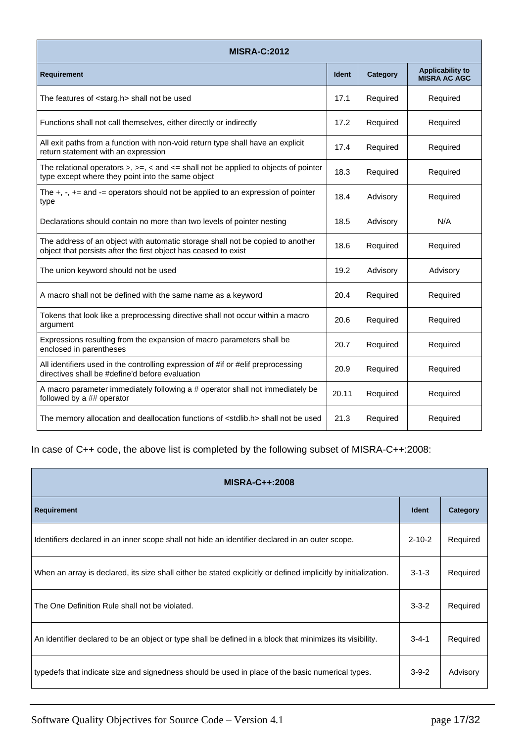| <b>MISRA-C:2012</b>                                                                                                                                |              |          |                                                |
|----------------------------------------------------------------------------------------------------------------------------------------------------|--------------|----------|------------------------------------------------|
| <b>Requirement</b>                                                                                                                                 | <b>Ident</b> | Category | <b>Applicability to</b><br><b>MISRA AC AGC</b> |
| The features of <starg.h> shall not be used</starg.h>                                                                                              | 17.1         | Required | Required                                       |
| Functions shall not call themselves, either directly or indirectly                                                                                 | 17.2         | Required | Required                                       |
| All exit paths from a function with non-void return type shall have an explicit<br>return statement with an expression                             | 17.4         | Required | Required                                       |
| The relational operators $>$ , $>=$ , $<$ and $<=$ shall not be applied to objects of pointer<br>type except where they point into the same object | 18.3         | Required | Required                                       |
| The $+$ , $-$ , $+$ = and $-$ operators should not be applied to an expression of pointer<br>type                                                  | 18.4         | Advisory | Required                                       |
| Declarations should contain no more than two levels of pointer nesting                                                                             | 18.5         | Advisory | N/A                                            |
| The address of an object with automatic storage shall not be copied to another<br>object that persists after the first object has ceased to exist  | 18.6         | Required | Required                                       |
| The union keyword should not be used                                                                                                               | 19.2         | Advisory | Advisory                                       |
| A macro shall not be defined with the same name as a keyword                                                                                       | 20.4         | Required | Required                                       |
| Tokens that look like a preprocessing directive shall not occur within a macro<br>argument                                                         | 20.6         | Required | Required                                       |
| Expressions resulting from the expansion of macro parameters shall be<br>enclosed in parentheses                                                   | 20.7         | Required | Required                                       |
| All identifiers used in the controlling expression of #if or #elif preprocessing<br>directives shall be #define'd before evaluation                | 20.9         | Required | Required                                       |
| A macro parameter immediately following a # operator shall not immediately be<br>followed by a ## operator                                         | 20.11        | Required | Required                                       |
| The memory allocation and deallocation functions of <stdlib.h> shall not be used</stdlib.h>                                                        | 21.3         | Required | Required                                       |

In case of C++ code, the above list is completed by the following subset of MISRA-C++:2008:

| <b>MISRA-C++:2008</b>                                                                                          |              |          |
|----------------------------------------------------------------------------------------------------------------|--------------|----------|
| <b>Requirement</b>                                                                                             | <b>Ident</b> | Category |
| Identifiers declared in an inner scope shall not hide an identifier declared in an outer scope.                | $2 - 10 - 2$ | Required |
| When an array is declared, its size shall either be stated explicitly or defined implicitly by initialization. | $3 - 1 - 3$  | Required |
| The One Definition Rule shall not be violated.                                                                 | $3 - 3 - 2$  | Required |
| An identifier declared to be an object or type shall be defined in a block that minimizes its visibility.      | $3 - 4 - 1$  | Required |
| typedefs that indicate size and signedness should be used in place of the basic numerical types.               | $3-9-2$      | Advisory |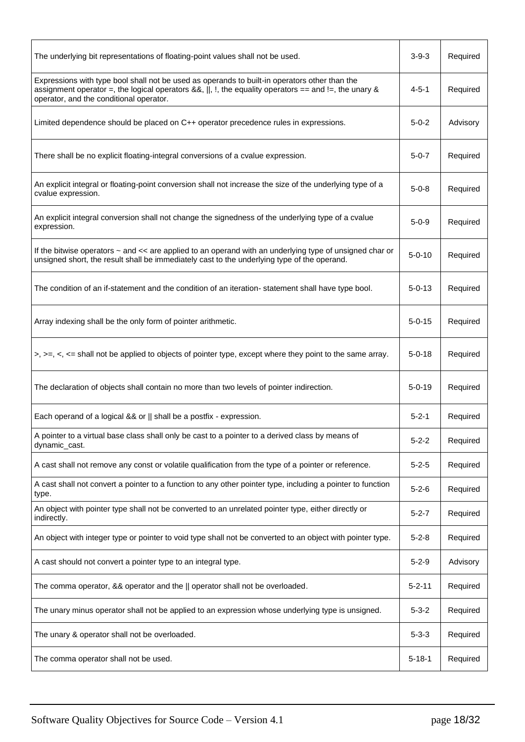| The underlying bit representations of floating-point values shall not be used.                                                                                                                                                                    | $3 - 9 - 3$  | Required |
|---------------------------------------------------------------------------------------------------------------------------------------------------------------------------------------------------------------------------------------------------|--------------|----------|
| Expressions with type bool shall not be used as operands to built-in operators other than the<br>assignment operator =, the logical operators &&,   , !, the equality operators == and !=, the unary &<br>operator, and the conditional operator. | 4-5-1        | Required |
| Limited dependence should be placed on C++ operator precedence rules in expressions.                                                                                                                                                              | $5 - 0 - 2$  | Advisory |
| There shall be no explicit floating-integral conversions of a cvalue expression.                                                                                                                                                                  | $5 - 0 - 7$  | Required |
| An explicit integral or floating-point conversion shall not increase the size of the underlying type of a<br>cvalue expression.                                                                                                                   | $5 - 0 - 8$  | Required |
| An explicit integral conversion shall not change the signedness of the underlying type of a cvalue<br>expression.                                                                                                                                 | $5 - 0 - 9$  | Required |
| If the bitwise operators ~ and << are applied to an operand with an underlying type of unsigned char or<br>unsigned short, the result shall be immediately cast to the underlying type of the operand.                                            | $5 - 0 - 10$ | Required |
| The condition of an if-statement and the condition of an iteration-statement shall have type bool.                                                                                                                                                | $5 - 0 - 13$ | Required |
| Array indexing shall be the only form of pointer arithmetic.                                                                                                                                                                                      | $5 - 0 - 15$ | Required |
| $\Rightarrow$ , $\Rightarrow$ , $\le$ , $\le$ shall not be applied to objects of pointer type, except where they point to the same array.                                                                                                         | $5 - 0 - 18$ | Required |
| The declaration of objects shall contain no more than two levels of pointer indirection.                                                                                                                                                          | $5 - 0 - 19$ | Required |
| Each operand of a logical && or    shall be a postfix - expression.                                                                                                                                                                               | $5 - 2 - 1$  | Required |
| A pointer to a virtual base class shall only be cast to a pointer to a derived class by means of<br>dynamic_cast.                                                                                                                                 | $5 - 2 - 2$  | Required |
| A cast shall not remove any const or volatile qualification from the type of a pointer or reference.                                                                                                                                              | $5 - 2 - 5$  | Required |
| A cast shall not convert a pointer to a function to any other pointer type, including a pointer to function<br>type.                                                                                                                              | $5 - 2 - 6$  | Required |
| An object with pointer type shall not be converted to an unrelated pointer type, either directly or<br>indirectly.                                                                                                                                | $5 - 2 - 7$  | Required |
| An object with integer type or pointer to void type shall not be converted to an object with pointer type.                                                                                                                                        | $5 - 2 - 8$  | Required |
| A cast should not convert a pointer type to an integral type.                                                                                                                                                                                     | $5 - 2 - 9$  | Advisory |
| The comma operator, && operator and the    operator shall not be overloaded.                                                                                                                                                                      | $5 - 2 - 11$ | Required |
| The unary minus operator shall not be applied to an expression whose underlying type is unsigned.                                                                                                                                                 | $5 - 3 - 2$  | Required |
| The unary & operator shall not be overloaded.                                                                                                                                                                                                     | $5 - 3 - 3$  | Required |
| The comma operator shall not be used.                                                                                                                                                                                                             | $5 - 18 - 1$ | Required |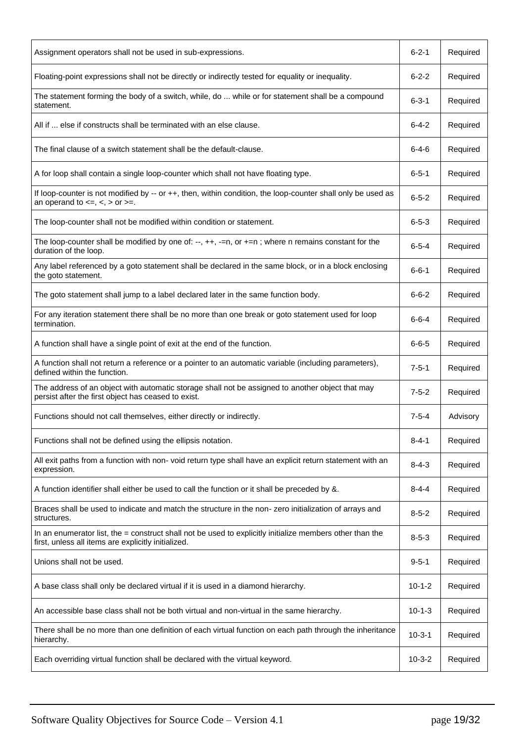| Assignment operators shall not be used in sub-expressions.                                                                                                      | $6 - 2 - 1$  | Required |
|-----------------------------------------------------------------------------------------------------------------------------------------------------------------|--------------|----------|
| Floating-point expressions shall not be directly or indirectly tested for equality or inequality.                                                               | $6 - 2 - 2$  | Required |
| The statement forming the body of a switch, while, do  while or for statement shall be a compound<br>statement.                                                 | $6 - 3 - 1$  | Required |
| All if  else if constructs shall be terminated with an else clause.                                                                                             | $6 - 4 - 2$  | Required |
| The final clause of a switch statement shall be the default-clause.                                                                                             | $6 - 4 - 6$  | Required |
| A for loop shall contain a single loop-counter which shall not have floating type.                                                                              | $6 - 5 - 1$  | Required |
| If loop-counter is not modified by -- or ++, then, within condition, the loop-counter shall only be used as<br>an operand to $\lt =, \lt, >$ or $\gt =.$        | $6 - 5 - 2$  | Required |
| The loop-counter shall not be modified within condition or statement.                                                                                           | $6 - 5 - 3$  | Required |
| The loop-counter shall be modified by one of: --, ++, -=n, or +=n; where n remains constant for the<br>duration of the loop.                                    | $6 - 5 - 4$  | Required |
| Any label referenced by a goto statement shall be declared in the same block, or in a block enclosing<br>the goto statement.                                    | $6 - 6 - 1$  | Required |
| The goto statement shall jump to a label declared later in the same function body.                                                                              | $6 - 6 - 2$  | Required |
| For any iteration statement there shall be no more than one break or goto statement used for loop<br>termination.                                               | $6 - 6 - 4$  | Required |
| A function shall have a single point of exit at the end of the function.                                                                                        | $6 - 6 - 5$  | Required |
| A function shall not return a reference or a pointer to an automatic variable (including parameters),<br>defined within the function.                           | $7 - 5 - 1$  | Required |
| The address of an object with automatic storage shall not be assigned to another object that may<br>persist after the first object has ceased to exist.         | $7 - 5 - 2$  | Required |
| Functions should not call themselves, either directly or indirectly.                                                                                            | $7 - 5 - 4$  | Advisory |
| Functions shall not be defined using the ellipsis notation.                                                                                                     | $8 - 4 - 1$  | Required |
| All exit paths from a function with non-void return type shall have an explicit return statement with an<br>expression.                                         | $8 - 4 - 3$  | Required |
| A function identifier shall either be used to call the function or it shall be preceded by &.                                                                   | 8-4-4        | Required |
| Braces shall be used to indicate and match the structure in the non- zero initialization of arrays and<br>structures.                                           | $8 - 5 - 2$  | Required |
| In an enumerator list, the = construct shall not be used to explicitly initialize members other than the<br>first, unless all items are explicitly initialized. | $8 - 5 - 3$  | Required |
| Unions shall not be used.                                                                                                                                       | $9 - 5 - 1$  | Required |
| A base class shall only be declared virtual if it is used in a diamond hierarchy.                                                                               | $10 - 1 - 2$ | Required |
| An accessible base class shall not be both virtual and non-virtual in the same hierarchy.                                                                       | $10 - 1 - 3$ | Required |
| There shall be no more than one definition of each virtual function on each path through the inheritance<br>hierarchy.                                          | $10 - 3 - 1$ | Required |
| Each overriding virtual function shall be declared with the virtual keyword.                                                                                    | $10 - 3 - 2$ | Required |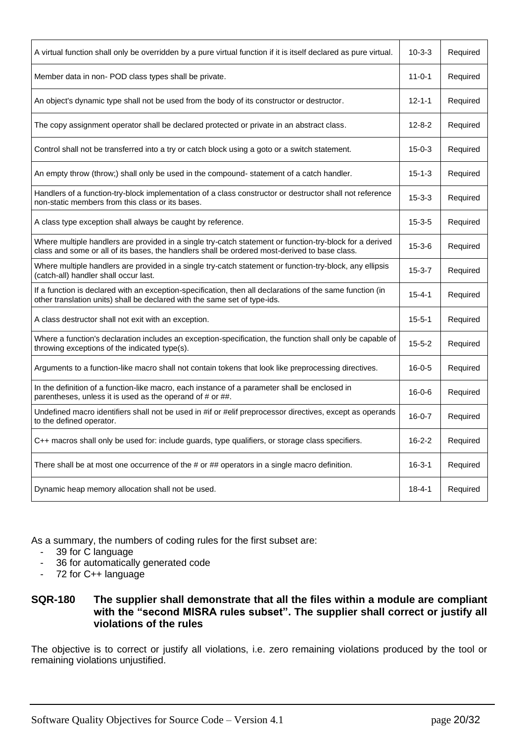| A virtual function shall only be overridden by a pure virtual function if it is itself declared as pure virtual.                                                                                          | $10 - 3 - 3$ | Required |
|-----------------------------------------------------------------------------------------------------------------------------------------------------------------------------------------------------------|--------------|----------|
| Member data in non- POD class types shall be private.                                                                                                                                                     | $11 - 0 - 1$ | Required |
| An object's dynamic type shall not be used from the body of its constructor or destructor.                                                                                                                | $12 - 1 - 1$ | Required |
| The copy assignment operator shall be declared protected or private in an abstract class.                                                                                                                 | $12 - 8 - 2$ | Required |
| Control shall not be transferred into a try or catch block using a goto or a switch statement.                                                                                                            | $15 - 0 - 3$ | Required |
| An empty throw (throw;) shall only be used in the compound- statement of a catch handler.                                                                                                                 | $15 - 1 - 3$ | Required |
| Handlers of a function-try-block implementation of a class constructor or destructor shall not reference<br>non-static members from this class or its bases.                                              | $15 - 3 - 3$ | Required |
| A class type exception shall always be caught by reference.                                                                                                                                               | $15 - 3 - 5$ | Required |
| Where multiple handlers are provided in a single try-catch statement or function-try-block for a derived<br>class and some or all of its bases, the handlers shall be ordered most-derived to base class. | $15 - 3 - 6$ | Required |
| Where multiple handlers are provided in a single try-catch statement or function-try-block, any ellipsis<br>(catch-all) handler shall occur last.                                                         | $15 - 3 - 7$ | Required |
| If a function is declared with an exception-specification, then all declarations of the same function (in<br>other translation units) shall be declared with the same set of type-ids.                    | 15-4-1       | Required |
| A class destructor shall not exit with an exception.                                                                                                                                                      | $15 - 5 - 1$ | Required |
| Where a function's declaration includes an exception-specification, the function shall only be capable of<br>throwing exceptions of the indicated type(s).                                                | $15 - 5 - 2$ | Required |
| Arguments to a function-like macro shall not contain tokens that look like preprocessing directives.                                                                                                      | $16 - 0 - 5$ | Required |
| In the definition of a function-like macro, each instance of a parameter shall be enclosed in<br>parentheses, unless it is used as the operand of # or ##.                                                | $16 - 0 - 6$ | Required |
| Undefined macro identifiers shall not be used in #if or #elif preprocessor directives, except as operands<br>to the defined operator.                                                                     | $16 - 0 - 7$ | Required |
| C++ macros shall only be used for: include guards, type qualifiers, or storage class specifiers.                                                                                                          | $16 - 2 - 2$ | Required |
| There shall be at most one occurrence of the # or ## operators in a single macro definition.                                                                                                              | 16-3-1       | Required |
| Dynamic heap memory allocation shall not be used.                                                                                                                                                         | $18 - 4 - 1$ | Required |

As a summary, the numbers of coding rules for the first subset are:

- 39 for C language
- 36 for automatically generated code
- 72 for C++ language

#### <span id="page-19-0"></span>**SQR-180 The supplier shall demonstrate that all the files within a module are compliant with the "second MISRA rules subset". The supplier shall correct or justify all violations of the rules**

The objective is to correct or justify all violations, i.e. zero remaining violations produced by the tool or remaining violations unjustified.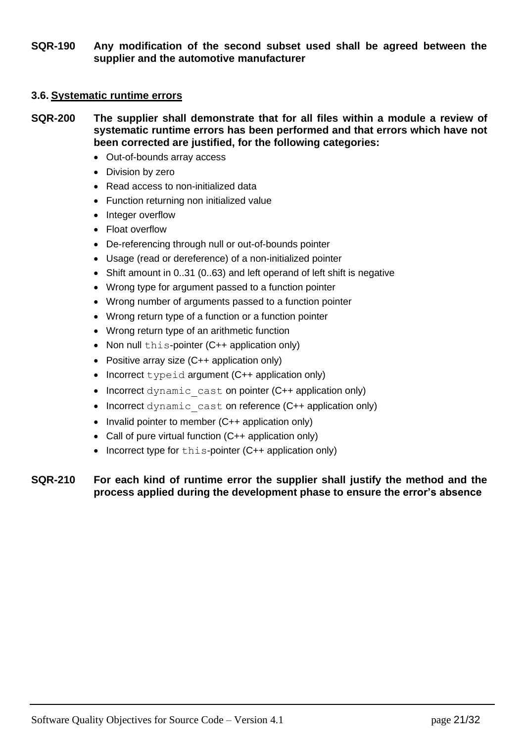<span id="page-20-3"></span>**SQR-190 Any modification of the second subset used shall be agreed between the supplier and the automotive manufacturer**

#### <span id="page-20-0"></span>**3.6. Systematic runtime errors**

- <span id="page-20-1"></span>**SQR-200 The supplier shall demonstrate that for all files within a module a review of systematic runtime errors has been performed and that errors which have not been corrected are justified, for the following categories:**
	- Out-of-bounds array access
	- Division by zero
	- Read access to non-initialized data
	- Function returning non initialized value
	- Integer overflow
	- Float overflow
	- De-referencing through null or out-of-bounds pointer
	- Usage (read or dereference) of a non-initialized pointer
	- Shift amount in 0..31 (0..63) and left operand of left shift is negative
	- Wrong type for argument passed to a function pointer
	- Wrong number of arguments passed to a function pointer
	- Wrong return type of a function or a function pointer
	- Wrong return type of an arithmetic function
	- Non null this-pointer (C++ application only)
	- Positive array size (C++ application only)
	- Incorrect typeid argument  $(C++$  application only)
	- Incorrect dynamic cast on pointer (C++ application only)
	- Incorrect dynamic cast on reference (C++ application only)
	- Invalid pointer to member (C++ application only)
	- Call of pure virtual function (C++ application only)
	- Incorrect type for this-pointer (C++ application only)

#### <span id="page-20-2"></span>**SQR-210 For each kind of runtime error the supplier shall justify the method and the process applied during the development phase to ensure the error's absence**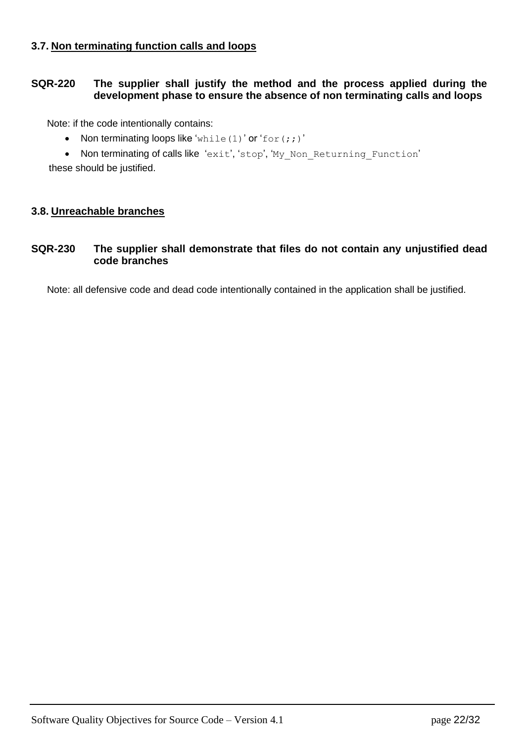### <span id="page-21-0"></span>**3.7. Non terminating function calls and loops**

#### <span id="page-21-2"></span>**SQR-220 The supplier shall justify the method and the process applied during the development phase to ensure the absence of non terminating calls and loops**

Note: if the code intentionally contains:

- Non terminating loops like 'while(1)' or 'for(;;)'
- Non terminating of calls like 'exit', 'stop', 'My\_Non\_Returning\_Function'

these should be justified.

#### <span id="page-21-1"></span>**3.8. Unreachable branches**

#### <span id="page-21-3"></span>**SQR-230 The supplier shall demonstrate that files do not contain any unjustified dead code branches**

Note: all defensive code and dead code intentionally contained in the application shall be justified.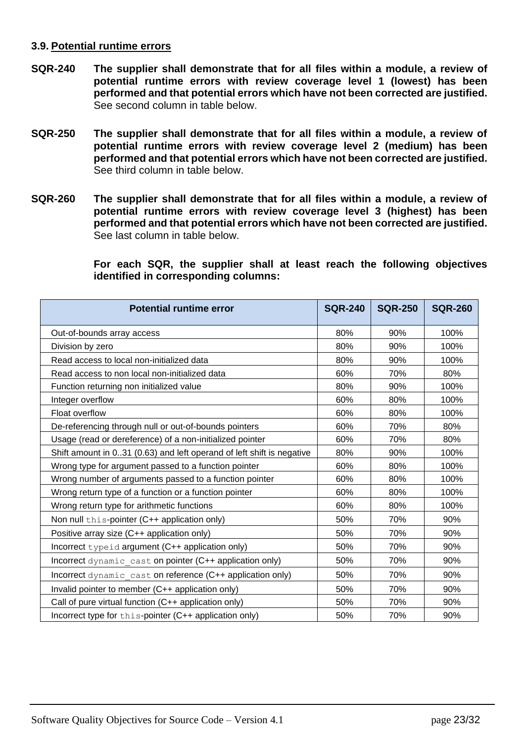#### <span id="page-22-0"></span>**3.9. Potential runtime errors**

- <span id="page-22-1"></span>**SQR-240 The supplier shall demonstrate that for all files within a module, a review of potential runtime errors with review coverage level 1 (lowest) has been performed and that potential errors which have not been corrected are justified.** See second column in table below.
- <span id="page-22-2"></span>**SQR-250 The supplier shall demonstrate that for all files within a module, a review of potential runtime errors with review coverage level 2 (medium) has been performed and that potential errors which have not been corrected are justified.** See third column in table below.
- <span id="page-22-3"></span>**SQR-260 The supplier shall demonstrate that for all files within a module, a review of potential runtime errors with review coverage level 3 (highest) has been performed and that potential errors which have not been corrected are justified.** See last column in table below.

**For each SQR, the supplier shall at least reach the following objectives identified in corresponding columns:**

| <b>Potential runtime error</b>                                        | <b>SQR-240</b> | <b>SQR-250</b> | <b>SQR-260</b> |
|-----------------------------------------------------------------------|----------------|----------------|----------------|
| Out-of-bounds array access                                            | 80%            | 90%            | 100%           |
| Division by zero                                                      | 80%            | 90%            | 100%           |
| Read access to local non-initialized data                             | 80%            | 90%            | 100%           |
| Read access to non local non-initialized data                         | 60%            | 70%            | 80%            |
| Function returning non initialized value                              | 80%            | 90%            | 100%           |
| Integer overflow                                                      | 60%            | 80%            | 100%           |
| Float overflow                                                        | 60%            | 80%            | 100%           |
| De-referencing through null or out-of-bounds pointers                 | 60%            | 70%            | 80%            |
| Usage (read or dereference) of a non-initialized pointer              | 60%            | 70%            | 80%            |
| Shift amount in 031 (0.63) and left operand of left shift is negative | 80%            | 90%            | 100%           |
| Wrong type for argument passed to a function pointer                  | 60%            | 80%            | 100%           |
| Wrong number of arguments passed to a function pointer                | 60%            | 80%            | 100%           |
| Wrong return type of a function or a function pointer                 | 60%            | 80%            | 100%           |
| Wrong return type for arithmetic functions                            | 60%            | 80%            | 100%           |
| Non null this-pointer (C++ application only)                          | 50%            | 70%            | 90%            |
| Positive array size (C++ application only)                            | 50%            | 70%            | 90%            |
| Incorrect typeid argument (C++ application only)                      | 50%            | 70%            | 90%            |
| Incorrect dynamic cast on pointer (C++ application only)              | 50%            | 70%            | 90%            |
| Incorrect dynamic cast on reference (C++ application only)            | 50%            | 70%            | 90%            |
| Invalid pointer to member (C++ application only)                      | 50%            | 70%            | 90%            |
| Call of pure virtual function (C++ application only)                  | 50%            | 70%            | 90%            |
| Incorrect type for this-pointer (C++ application only)                | 50%            | 70%            | 90%            |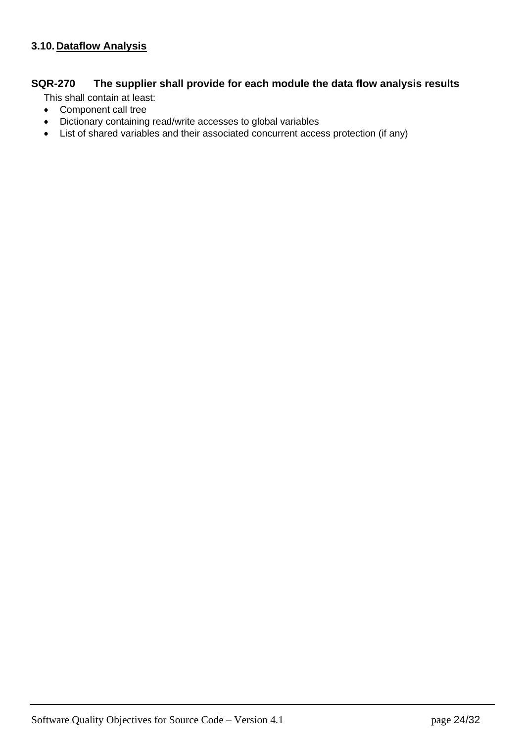## <span id="page-23-1"></span><span id="page-23-0"></span>**SQR-270 The supplier shall provide for each module the data flow analysis results**

This shall contain at least:

- Component call tree
- Dictionary containing read/write accesses to global variables
- List of shared variables and their associated concurrent access protection (if any)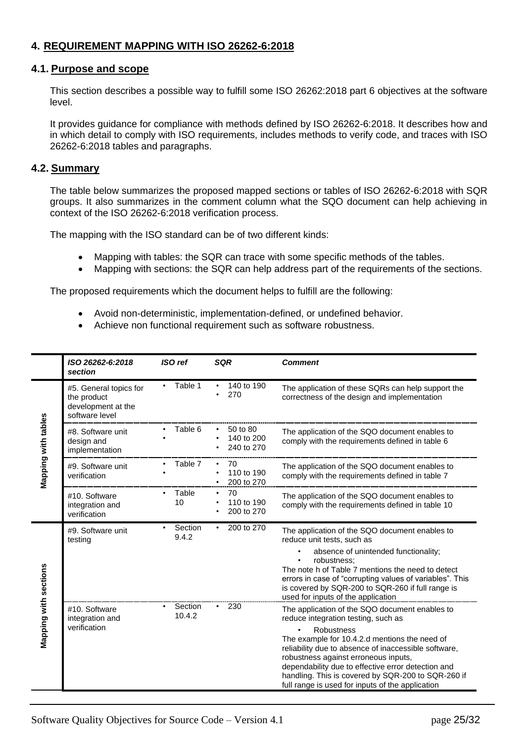### <span id="page-24-0"></span>**4. REQUIREMENT MAPPING WITH ISO 26262-6:2018**

#### <span id="page-24-1"></span>**4.1. Purpose and scope**

This section describes a possible way to fulfill some ISO 26262:2018 part 6 objectives at the software level.

It provides guidance for compliance with methods defined by ISO 26262-6:2018. It describes how and in which detail to comply with ISO requirements, includes methods to verify code, and traces with ISO 26262-6:2018 tables and paragraphs.

#### <span id="page-24-2"></span>**4.2. Summary**

The table below summarizes the proposed mapped sections or tables of ISO 26262-6:2018 with SQR groups. It also summarizes in the comment column what the SQO document can help achieving in context of the ISO 26262-6:2018 verification process.

The mapping with the ISO standard can be of two different kinds:

- Mapping with tables: the SQR can trace with some specific methods of the tables.
- Mapping with sections: the SQR can help address part of the requirements of the sections.

The proposed requirements which the document helps to fulfill are the following:

- Avoid non-deterministic, implementation-defined, or undefined behavior.
- Achieve non functional requirement such as software robustness.

|                       | ISO 26262-6:2018<br>section                                                   | <b>ISO</b> ref    | <b>SQR</b>                           | <b>Comment</b>                                                                                                                                                                                                                                                                                                                                                                                                              |
|-----------------------|-------------------------------------------------------------------------------|-------------------|--------------------------------------|-----------------------------------------------------------------------------------------------------------------------------------------------------------------------------------------------------------------------------------------------------------------------------------------------------------------------------------------------------------------------------------------------------------------------------|
|                       | #5. General topics for<br>the product<br>development at the<br>software level | Table 1           | 140 to 190<br>270                    | The application of these SQRs can help support the<br>correctness of the design and implementation                                                                                                                                                                                                                                                                                                                          |
| Mapping with tables   | #8. Software unit<br>design and<br>implementation                             | Table 6           | 50 to 80<br>140 to 200<br>240 to 270 | The application of the SQO document enables to<br>comply with the requirements defined in table 6                                                                                                                                                                                                                                                                                                                           |
|                       | #9. Software unit<br>verification                                             | Table 7           | 70<br>110 to 190<br>200 to 270       | The application of the SQO document enables to<br>comply with the requirements defined in table 7                                                                                                                                                                                                                                                                                                                           |
|                       | #10. Software<br>integration and<br>verification                              | Table<br>10       | 70<br>110 to 190<br>200 to 270       | The application of the SQO document enables to<br>comply with the requirements defined in table 10                                                                                                                                                                                                                                                                                                                          |
|                       | #9. Software unit<br>testing                                                  | Section<br>9.4.2  | 200 to 270<br>٠                      | The application of the SQO document enables to<br>reduce unit tests, such as<br>absence of unintended functionality;<br>robustness:<br>The note h of Table 7 mentions the need to detect<br>errors in case of "corrupting values of variables". This<br>is covered by SQR-200 to SQR-260 if full range is<br>used for inputs of the application                                                                             |
| Mapping with sections | #10. Software<br>integration and<br>verification                              | Section<br>10.4.2 | 230<br>$\bullet$                     | The application of the SQO document enables to<br>reduce integration testing, such as<br><b>Robustness</b><br>The example for 10.4.2.d mentions the need of<br>reliability due to absence of inaccessible software,<br>robustness against erroneous inputs,<br>dependability due to effective error detection and<br>handling. This is covered by SQR-200 to SQR-260 if<br>full range is used for inputs of the application |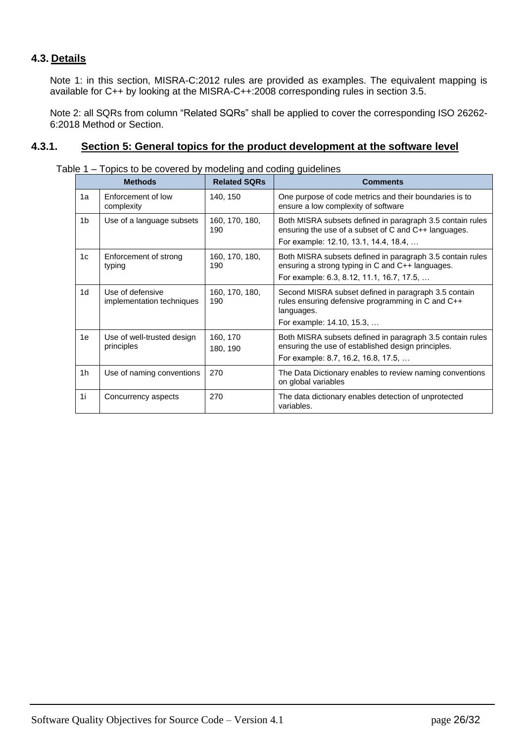### <span id="page-25-0"></span>**4.3. Details**

Note 1: in this section, MISRA-C:2012 rules are provided as examples. The equivalent mapping is available for C++ by looking at the MISRA-C++:2008 corresponding rules in section [3.5.](#page-11-0)

Note 2: all SQRs from column "Related SQRs" shall be applied to cover the corresponding ISO 26262- 6:2018 Method or Section.

#### <span id="page-25-1"></span>**4.3.1. Section 5: General topics for the product development at the software level**

|                | <b>Methods</b>                                | <b>Related SQRs</b>   | <b>Comments</b>                                                                                                                                            |
|----------------|-----------------------------------------------|-----------------------|------------------------------------------------------------------------------------------------------------------------------------------------------------|
| 1a             | Enforcement of low<br>complexity              | 140, 150              | One purpose of code metrics and their boundaries is to<br>ensure a low complexity of software                                                              |
| 1b             | Use of a language subsets                     | 160, 170, 180,<br>190 | Both MISRA subsets defined in paragraph 3.5 contain rules<br>ensuring the use of a subset of C and C++ languages.<br>For example: 12.10, 13.1, 14.4, 18.4, |
| 1 <sub>c</sub> | Enforcement of strong<br>typing               | 160, 170, 180,<br>190 | Both MISRA subsets defined in paragraph 3.5 contain rules<br>ensuring a strong typing in C and C++ languages.<br>For example: 6.3, 8.12, 11.1, 16.7, 17.5, |
| 1d             | Use of defensive<br>implementation techniques | 160, 170, 180,<br>190 | Second MISRA subset defined in paragraph 3.5 contain<br>rules ensuring defensive programming in C and C++<br>languages.<br>For example: 14.10, 15.3,       |
| 1e             | Use of well-trusted design<br>principles      | 160, 170<br>180, 190  | Both MISRA subsets defined in paragraph 3.5 contain rules<br>ensuring the use of established design principles.<br>For example: 8.7, 16.2, 16.8, 17.5,     |
| 1h             | Use of naming conventions                     | 270                   | The Data Dictionary enables to review naming conventions<br>on global variables                                                                            |
| 1i             | Concurrency aspects                           | 270                   | The data dictionary enables detection of unprotected<br>variables.                                                                                         |

Table 1 – Topics to be covered by modeling and coding quidelines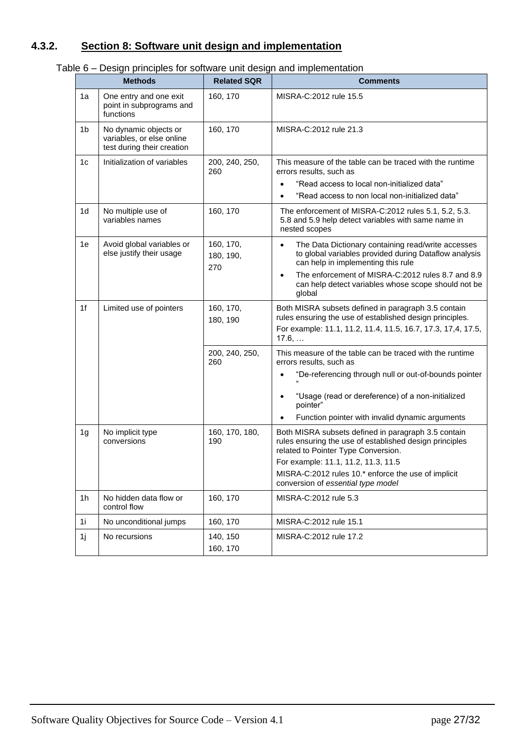# <span id="page-26-0"></span>**4.3.2. Section 8: Software unit design and implementation**

| Table 6 – Design principles for software unit design and implementation |
|-------------------------------------------------------------------------|
|-------------------------------------------------------------------------|

|                | $\mu$ e o $-$ Design principles for software unit design and implementation<br><b>Methods</b> | <b>Related SQR</b>            | <b>Comments</b>                                                                                                                                                                                                                                                                           |
|----------------|-----------------------------------------------------------------------------------------------|-------------------------------|-------------------------------------------------------------------------------------------------------------------------------------------------------------------------------------------------------------------------------------------------------------------------------------------|
| 1a             | One entry and one exit<br>point in subprograms and<br>functions                               | 160, 170                      | MISRA-C:2012 rule 15.5                                                                                                                                                                                                                                                                    |
| 1b             | No dynamic objects or<br>variables, or else online<br>test during their creation              | 160, 170                      | MISRA-C:2012 rule 21.3                                                                                                                                                                                                                                                                    |
| 1c             | Initialization of variables                                                                   | 200, 240, 250,<br>260         | This measure of the table can be traced with the runtime<br>errors results, such as<br>"Read access to local non-initialized data"<br>"Read access to non local non-initialized data"                                                                                                     |
| 1 <sub>d</sub> | No multiple use of<br>variables names                                                         | 160, 170                      | The enforcement of MISRA-C:2012 rules 5.1, 5.2, 5.3.<br>5.8 and 5.9 help detect variables with same name in<br>nested scopes                                                                                                                                                              |
| 1e             | Avoid global variables or<br>else justify their usage                                         | 160, 170,<br>180, 190,<br>270 | The Data Dictionary containing read/write accesses<br>$\bullet$<br>to global variables provided during Dataflow analysis<br>can help in implementing this rule<br>The enforcement of MISRA-C:2012 rules 8.7 and 8.9<br>can help detect variables whose scope should not be<br>global      |
| 1f             | Limited use of pointers                                                                       | 160, 170,<br>180, 190         | Both MISRA subsets defined in paragraph 3.5 contain<br>rules ensuring the use of established design principles.<br>For example: 11.1, 11.2, 11.4, 11.5, 16.7, 17.3, 17,4, 17.5,<br>17.6,                                                                                                  |
|                |                                                                                               | 200, 240, 250,<br>260         | This measure of the table can be traced with the runtime<br>errors results, such as<br>"De-referencing through null or out-of-bounds pointer<br>$\bullet$<br>"Usage (read or dereference) of a non-initialized<br>pointer"<br>Function pointer with invalid dynamic arguments             |
| 1g             | No implicit type<br>conversions                                                               | 160, 170, 180,<br>190         | Both MISRA subsets defined in paragraph 3.5 contain<br>rules ensuring the use of established design principles<br>related to Pointer Type Conversion.<br>For example: 11.1, 11.2, 11.3, 11.5<br>MISRA-C:2012 rules 10.* enforce the use of implicit<br>conversion of essential type model |
| 1 <sub>h</sub> | No hidden data flow or<br>control flow                                                        | 160, 170                      | MISRA-C:2012 rule 5.3                                                                                                                                                                                                                                                                     |
| 1i             | No unconditional jumps                                                                        | 160, 170                      | MISRA-C:2012 rule 15.1                                                                                                                                                                                                                                                                    |
| 1j             | No recursions                                                                                 | 140, 150<br>160, 170          | MISRA-C:2012 rule 17.2                                                                                                                                                                                                                                                                    |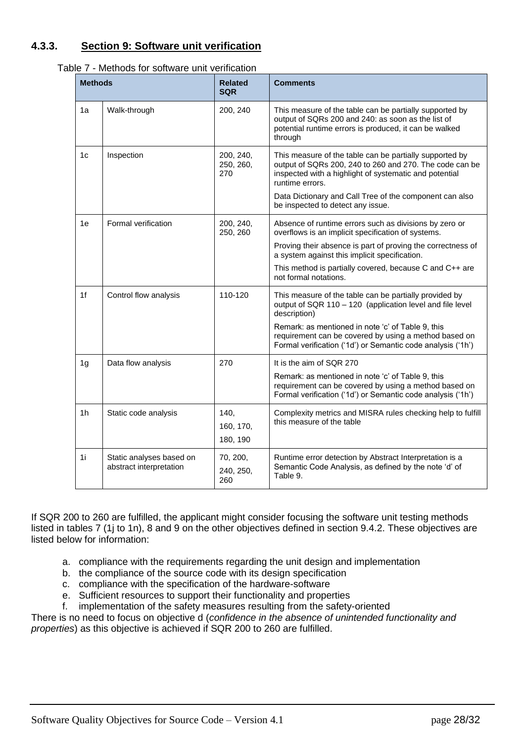### <span id="page-27-0"></span>**4.3.3. Section 9: Software unit verification**

| <b>Methods</b> | ouo ioi ooittiato ariit voriitoation                | <b>Related</b><br><b>SQR</b>  | <b>Comments</b>                                                                                                                                                                                 |
|----------------|-----------------------------------------------------|-------------------------------|-------------------------------------------------------------------------------------------------------------------------------------------------------------------------------------------------|
| 1a             | Walk-through                                        | 200, 240                      | This measure of the table can be partially supported by<br>output of SQRs 200 and 240: as soon as the list of<br>potential runtime errors is produced, it can be walked<br>through              |
| 1c             | Inspection                                          | 200, 240,<br>250, 260,<br>270 | This measure of the table can be partially supported by<br>output of SQRs 200, 240 to 260 and 270. The code can be<br>inspected with a highlight of systematic and potential<br>runtime errors. |
|                |                                                     |                               | Data Dictionary and Call Tree of the component can also<br>be inspected to detect any issue.                                                                                                    |
| 1e             | Formal verification                                 | 200, 240,<br>250, 260         | Absence of runtime errors such as divisions by zero or<br>overflows is an implicit specification of systems.                                                                                    |
|                |                                                     |                               | Proving their absence is part of proving the correctness of<br>a system against this implicit specification.                                                                                    |
|                |                                                     |                               | This method is partially covered, because C and C++ are<br>not formal notations.                                                                                                                |
| 1f             | Control flow analysis                               | 110-120                       | This measure of the table can be partially provided by<br>output of SQR 110 - 120 (application level and file level<br>description)                                                             |
|                |                                                     |                               | Remark: as mentioned in note 'c' of Table 9, this<br>requirement can be covered by using a method based on<br>Formal verification ('1d') or Semantic code analysis ('1h')                       |
| 1g             | Data flow analysis                                  | 270                           | It is the aim of SQR 270                                                                                                                                                                        |
|                |                                                     |                               | Remark: as mentioned in note 'c' of Table 9, this<br>requirement can be covered by using a method based on<br>Formal verification ('1d') or Semantic code analysis ('1h')                       |
| 1 <sub>h</sub> | Static code analysis                                | 140,                          | Complexity metrics and MISRA rules checking help to fulfill<br>this measure of the table                                                                                                        |
|                |                                                     | 160, 170,<br>180, 190         |                                                                                                                                                                                                 |
| 1i             | Static analyses based on<br>abstract interpretation | 70, 200,<br>240, 250,<br>260  | Runtime error detection by Abstract Interpretation is a<br>Semantic Code Analysis, as defined by the note 'd' of<br>Table 9.                                                                    |

|--|

If SQR 200 to 260 are fulfilled, the applicant might consider focusing the software unit testing methods listed in tables 7 (1j to 1n), 8 and 9 on the other objectives defined in section 9.4.2. These objectives are listed below for information:

- a. compliance with the requirements regarding the unit design and implementation
- b. the compliance of the source code with its design specification
- c. compliance with the specification of the hardware-software
- e. Sufficient resources to support their functionality and properties
- f. implementation of the safety measures resulting from the safety-oriented

There is no need to focus on objective d (*confidence in the absence of unintended functionality and properties*) as this objective is achieved if SQR 200 to 260 are fulfilled.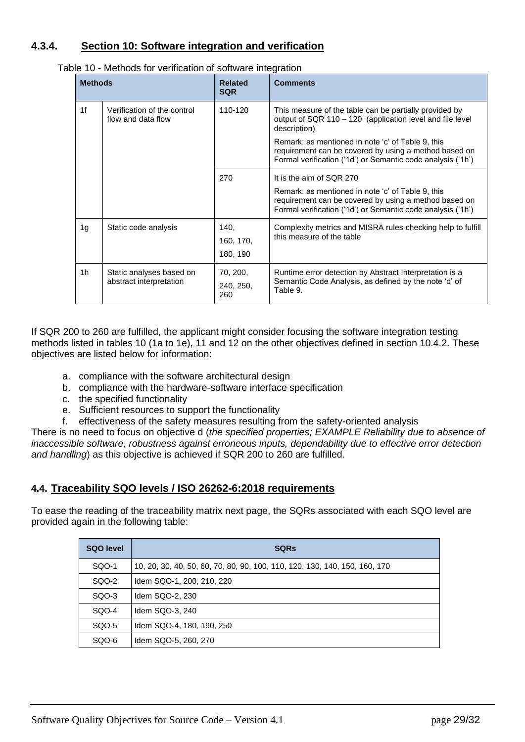### <span id="page-28-0"></span>**4.3.4. Section 10: Software integration and verification**

| <b>Methods</b> |                                                     | <b>Related</b><br><b>SQR</b>  | <b>Comments</b>                                                                                                                                                                                       |
|----------------|-----------------------------------------------------|-------------------------------|-------------------------------------------------------------------------------------------------------------------------------------------------------------------------------------------------------|
| 1f             | Verification of the control<br>flow and data flow   | 110-120                       | This measure of the table can be partially provided by<br>output of SQR 110 - 120 (application level and file level<br>description)                                                                   |
|                |                                                     |                               | Remark: as mentioned in note 'c' of Table 9, this<br>requirement can be covered by using a method based on<br>Formal verification ('1d') or Semantic code analysis ('1h')                             |
|                |                                                     | 270                           | It is the aim of SQR 270<br>Remark: as mentioned in note 'c' of Table 9, this<br>requirement can be covered by using a method based on<br>Formal verification ('1d') or Semantic code analysis ('1h') |
| 1g             | Static code analysis                                | 140.<br>160, 170,<br>180, 190 | Complexity metrics and MISRA rules checking help to fulfill<br>this measure of the table                                                                                                              |
| 1 <sub>h</sub> | Static analyses based on<br>abstract interpretation | 70, 200,<br>240, 250,<br>260  | Runtime error detection by Abstract Interpretation is a<br>Semantic Code Analysis, as defined by the note 'd' of<br>Table 9.                                                                          |

|--|

If SQR 200 to 260 are fulfilled, the applicant might consider focusing the software integration testing methods listed in tables 10 (1a to 1e), 11 and 12 on the other objectives defined in section 10.4.2. These objectives are listed below for information:

- a. compliance with the software architectural design
- b. compliance with the hardware-software interface specification
- c. the specified functionality
- e. Sufficient resources to support the functionality
- f. effectiveness of the safety measures resulting from the safety-oriented analysis

There is no need to focus on objective d (*the specified properties; EXAMPLE Reliability due to absence of inaccessible software, robustness against erroneous inputs, dependability due to effective error detection and handling*) as this objective is achieved if SQR 200 to 260 are fulfilled.

#### **4.4. Traceability SQO levels / ISO 26262-6:2018 requirements**

To ease the reading of the traceability matrix next page, the SQRs associated with each SQO level are provided again in the following table:

<span id="page-28-1"></span>

| <b>SQO level</b> | <b>SQRs</b>                                                                |
|------------------|----------------------------------------------------------------------------|
| SQQ-1            | 10, 20, 30, 40, 50, 60, 70, 80, 90, 100, 110, 120, 130, 140, 150, 160, 170 |
| SQO-2            | Idem SQO-1, 200, 210, 220                                                  |
| SQQ-3            | Idem SQO-2, 230                                                            |
| SQO-4            | Idem SQO-3, 240                                                            |
| SQO-5            | Idem SQO-4, 180, 190, 250                                                  |
| SQO-6            | Idem SQO-5, 260, 270                                                       |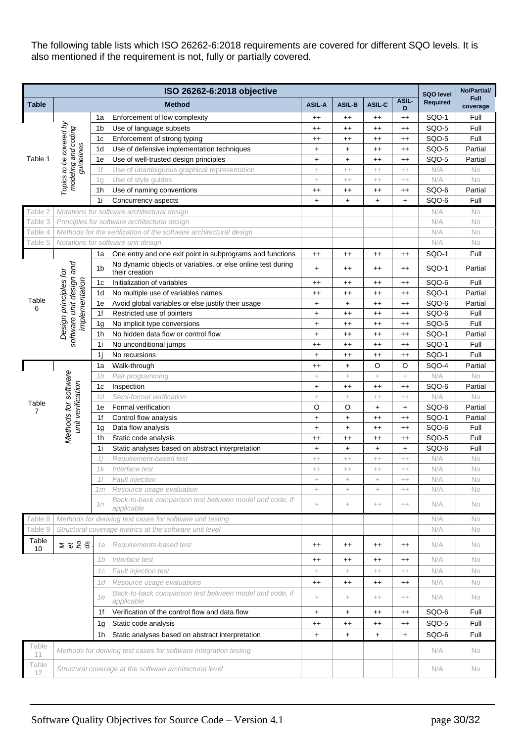The following table lists which ISO 26262-6:2018 requirements are covered for different SQO levels. It is also mentioned if the requirement is not, fully or partially covered.

|                            | ISO 26262-6:2018 objective                              |                |                                                                               |                 |                    |                  |                  | SQO level       | No/Partial/             |
|----------------------------|---------------------------------------------------------|----------------|-------------------------------------------------------------------------------|-----------------|--------------------|------------------|------------------|-----------------|-------------------------|
| <b>Table</b>               |                                                         | <b>Method</b>  |                                                                               | <b>ASIL-A</b>   | <b>ASIL-B</b>      | ASIL-C           | ASIL-<br>D       | <b>Required</b> | <b>Full</b><br>coverage |
|                            |                                                         | 1a             | Enforcement of low complexity                                                 | $^{++}$         | $^{++}$            | $^{++}$          | $^{++}$          | SQO-1           | Full                    |
| Table 1                    | Topics to be covered by                                 | 1b             | Use of language subsets                                                       | $^{++}$         | $^{++}$            | $^{\mathrm{+}}$  | $^{\mathrm{++}}$ | SQO-5           | Full                    |
|                            | modeling and coding                                     | 1 <sub>c</sub> | Enforcement of strong typing                                                  | $^{++}$         | $^{\mathrm{+}}$    | $^{++}$          | $^{++}$          | SQO-5           | Full                    |
|                            | guidelines                                              | 1d             | Use of defensive implementation techniques                                    | $+$             | $\ddot{}$          | $^{\mathrm{+}}$  | $^{++}$          | SQO-5           | Partial                 |
|                            |                                                         | 1e             | Use of well-trusted design principles                                         | $+$             | $+$                | $^{++}$          | $^{++}$          | SQO-5           | Partial                 |
|                            |                                                         | 1f             | Use of unambiguous graphical representation                                   | $\! + \!\!\!\!$ | $^{++}$            | $^{++}$          | $^{++}$          | N/A             | No                      |
|                            |                                                         | 1g             | Use of style guides                                                           | $+$             | $^{++}$            | $^{++}$          | $^{++}$          | N/A             | No                      |
|                            |                                                         | 1h             | Use of naming conventions                                                     | $^{++}$         | $^{++}$            | $^{\mathrm{+}}$  | $^{++}$          | SQO-6           | Partial                 |
|                            |                                                         | 1i             | Concurrency aspects                                                           | $\ddot{}$       | $+$                | $+$              | $+$              | SQO-6           | Full                    |
| Table 2                    |                                                         |                | Notations for software architectural design                                   |                 |                    |                  |                  | N/A             | No                      |
| Table 3                    |                                                         |                | Principles for software architectural design                                  |                 |                    |                  |                  | N/A             | No                      |
| Table 4                    |                                                         |                | Methods for the verification of the software architectural design             |                 |                    |                  |                  | N/A             | No                      |
| Table 5                    |                                                         |                | Notations for software unit design                                            |                 |                    |                  |                  | N/A             | No                      |
|                            |                                                         | 1a             | One entry and one exit point in subprograms and functions                     | $^{++}$         | $^{++}$            | $^{++}$          | $^{++}$          | SQO-1           | Full                    |
|                            | software unit design and                                | 1 <sub>b</sub> | No dynamic objects or variables, or else online test during<br>their creation | $\ddot{}$       | $^{++}$            | $^{++}$          | $^{++}$          | SQO-1           | Partial                 |
|                            | Design principles for<br>implementation                 | 1 <sub>c</sub> | Initialization of variables                                                   | $^{++}$         | $^{++}$            | $^{\mathrm{+}}$  | $^{\mathrm{+}}$  | SQO-6           | Full                    |
|                            |                                                         | 1d             | No multiple use of variables names                                            | $^{++}$         | $^{++}$            | $^{++}$          | $^{++}$          | SQO-1           | Partial                 |
| Table<br>6                 |                                                         | 1e             | Avoid global variables or else justify their usage                            | $+$             | $\ddot{}$          | $^{++}$          | $^{++}$          | SQO-6           | Partial                 |
|                            |                                                         | 1f             | Restricted use of pointers                                                    | $+$             | $^{++}$            | $^{\mathrm{+}}$  | $^{++}$          | SQO-6           | Full                    |
|                            |                                                         | 1g             | No implicit type conversions                                                  | $\ddot{}$       | $^{++}$            | $^{\mathrm{+}}$  | $^{++}$          | SQO-5           | Full                    |
|                            |                                                         | 1h             | No hidden data flow or control flow                                           | $+$             | $^{++}$            | $^{\mathrm{++}}$ | $^{++}$          | SQO-1           | Partial                 |
|                            |                                                         | 1i             | No unconditional jumps                                                        | $^{++}$         | $^{++}$            | $^{++}$          | $^{++}$          | SQO-1           | Full                    |
|                            |                                                         | 1j             | No recursions                                                                 | $\ddot{}$       | $^{++}$            | $^{\mathrm{+}}$  | $^{++}$          | SQO-1           | Full                    |
|                            |                                                         | 1a             | Walk-through                                                                  | $^{++}$         | $\ddot{}$          | O                | O                | SQO-4           | Partial                 |
|                            |                                                         | 1b             | Pair programming                                                              | $\! +$          | $\!+\!$            | $^+$             | $\!+\!$          | N/A             | No                      |
|                            |                                                         | 1c             | Inspection                                                                    | $+$             | $^{++}$            | $^{++}$          | $^{++}$          | SQO-6           | Partial                 |
| Table                      |                                                         | 1d             | Semi-formal verification                                                      | $\! + \!\!\!\!$ | $\!+\!$            | $^{++}$          | $^{++}$          | N/A             | No                      |
| $\overline{7}$             | Methods for software<br>unit verification               | 1e             | Formal verification                                                           | O               | O                  | +                | $\ddot{}$        | SQO-6           | Partial                 |
|                            |                                                         | 1f             | Control flow analysis                                                         | $\ddag$         | $\ddot{}$          | $^{++}$          | $^{++}$          | SQO-1           | Partial                 |
|                            |                                                         | 1g             | Data flow analysis                                                            | $\ddot{}$       | $\ddot{}$          | $^{++}$          | $^{++}$          | SQO-6           | Full                    |
|                            |                                                         | 1h             | Static code analysis                                                          | $^{++}$         | $^{++}$            | $^{++}$          | $^{++}$          | SQO-5           | Full                    |
|                            |                                                         | 1i             | Static analyses based on abstract interpretation                              | $+$             | $\ddot{}$          | +                | $+$              | SQO-6           | Full                    |
|                            |                                                         | 1 i            | Requirement-based test                                                        | $^{++}$         | $++$               | $^{++}$          | $^{++}$          | N/A             | No                      |
|                            |                                                         | 1k             | Interface test                                                                | $^{++}$         | $^{++}$            | $^{++}$          | $^{++}$          | N/A             | No                      |
|                            |                                                         | 11             | Fault injection                                                               | $\! + \!\!\!\!$ | $\! +$             | $^+$             | $^{++}$          | N/A             | No                      |
|                            |                                                         | 1m             | Resource usage evaluation                                                     | $\! +$          | $\! +$             | $^{+}$           | $^{++}$          | N/A             | No                      |
|                            |                                                         | 1n             | Back-to-back comparison test between model and code, if<br>applicable         | $\! + \!\!\!$   | $\! +$             | $^{++}$          | $++$             | N/A             | No                      |
| Table 8                    |                                                         |                | Methods for deriving test cases for software unit testing                     |                 |                    |                  |                  | N/A             | No                      |
| Table 9                    |                                                         |                | Structural coverage metrics at the software unit level                        |                 |                    |                  |                  | N/A             | No                      |
| Table<br>10                | 2525                                                    | 1a             | Requirements-based test                                                       | $^{++}$         | $^{++}$            | $^{++}$          | $^{++}$          | N/A             | No                      |
|                            |                                                         | 1b             | Interface test                                                                | $^{++}$         | $^{\mathrm{+}}$    | $^{\mathrm{++}}$ | $^{\mathrm{++}}$ | N/A             | No                      |
|                            |                                                         | 1с             | <b>Fault injection test</b>                                                   | $\! +$          | $+$                | $^{++}$          | $^{++}$          | N/A             | No                      |
|                            |                                                         | 1 d            | Resource usage evaluations                                                    | $^{++}$         | $^{++}$            | $^{\mathrm{++}}$ | $^{\mathrm{++}}$ | N/A             | No                      |
|                            |                                                         | 1e             | Back-to-back comparison test between model and code, if<br>applicable         | $\!+\!$         | $\hspace{0.1mm} +$ | $^{++}$          | $^{++}$          | N/A             | No                      |
|                            |                                                         | 1f             | Verification of the control flow and data flow                                | $+$             | $+$                | $^{++}$          | $^{++}$          | SQO-6           | Full                    |
|                            |                                                         | 1g             | Static code analysis                                                          | $^{++}$         | $^{++}$            | $^{\mathrm{++}}$ | $^{++}$          | SQO-5           | Full                    |
|                            |                                                         | 1h             | Static analyses based on abstract interpretation                              | $+$             | $+$                | $+$              | $\ddot{}$        | SQO-6           | Full                    |
| Table<br>11                |                                                         |                | Methods for deriving test cases for software integration testing              |                 |                    |                  |                  | N/A             | No                      |
| Table<br>$12 \overline{ }$ | Structural coverage at the software architectural level |                |                                                                               |                 |                    |                  | N/A              | No.             |                         |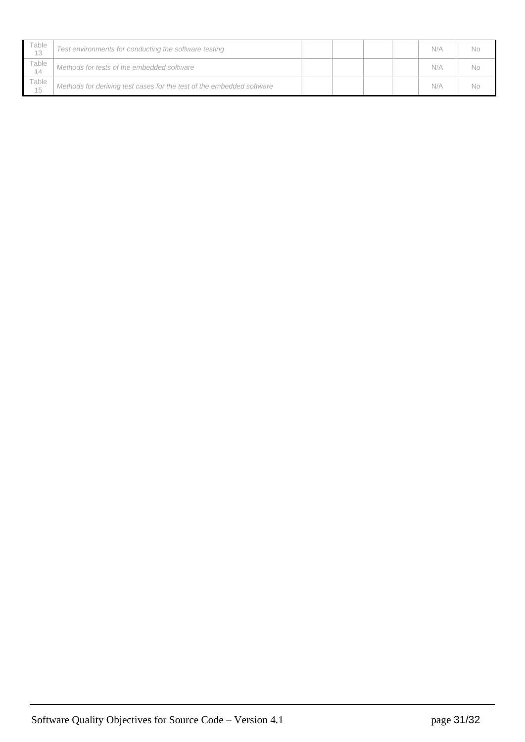| Table<br>13 | Test environments for conducting the software testing                 |  |  | N/A | No |
|-------------|-----------------------------------------------------------------------|--|--|-----|----|
| Table<br>14 | Methods for tests of the embedded software                            |  |  | N/A | No |
| Table<br>15 | Methods for deriving test cases for the test of the embedded software |  |  | N/A | No |